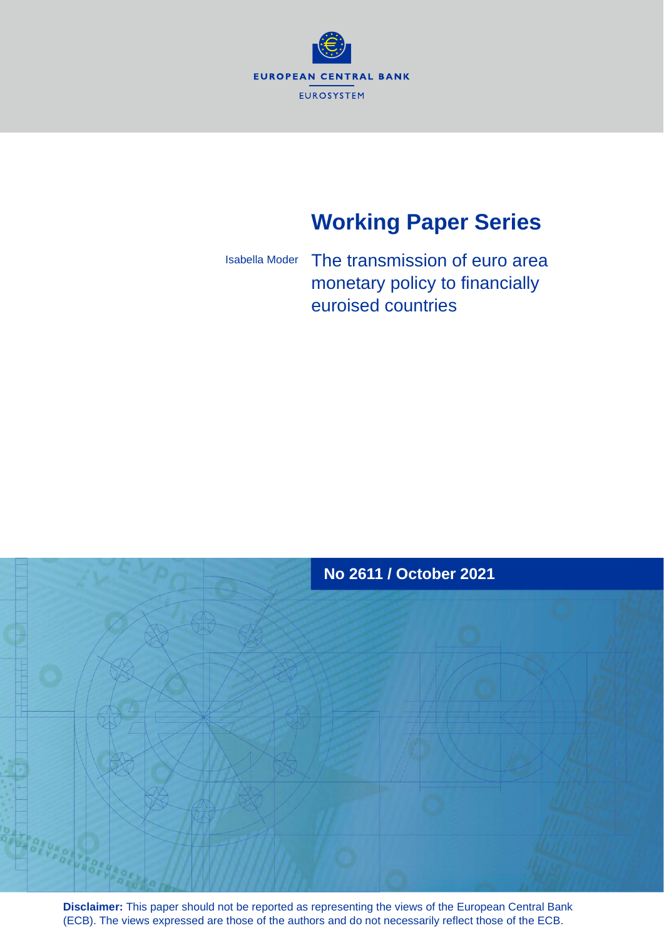

# **Working Paper Series**

The transmission of euro area monetary policy to financially euroised countries Isabella Moder



**Disclaimer:** This paper should not be reported as representing the views of the European Central Bank (ECB). The views expressed are those of the authors and do not necessarily reflect those of the ECB.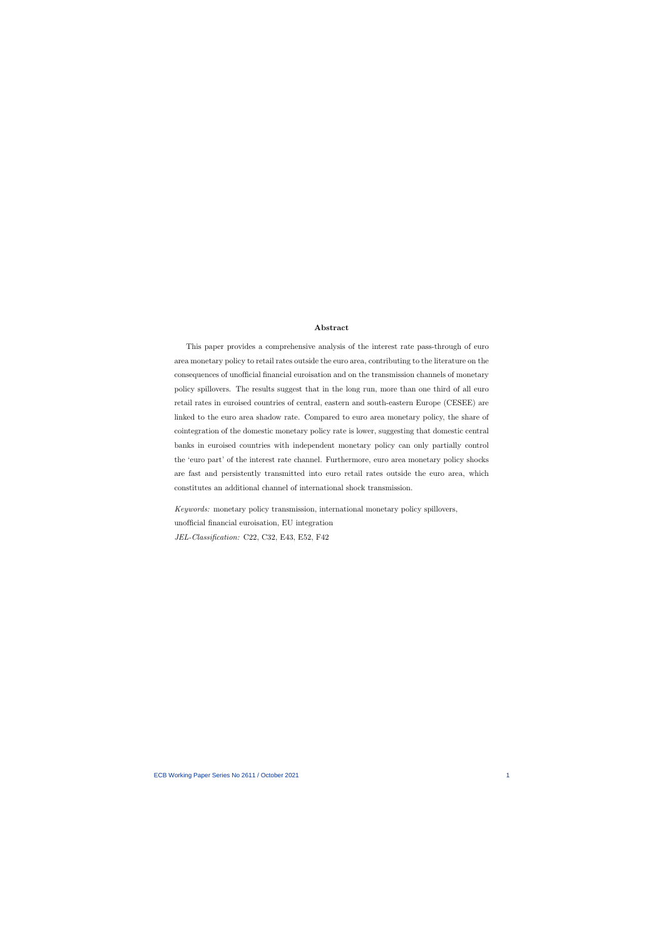#### Abstract

This paper provides a comprehensive analysis of the interest rate pass-through of euro area monetary policy to retail rates outside the euro area, contributing to the literature on the consequences of unofficial financial euroisation and on the transmission channels of monetary policy spillovers. The results suggest that in the long run, more than one third of all euro retail rates in euroised countries of central, eastern and south-eastern Europe (CESEE) are linked to the euro area shadow rate. Compared to euro area monetary policy, the share of cointegration of the domestic monetary policy rate is lower, suggesting that domestic central banks in euroised countries with independent monetary policy can only partially control the 'euro part' of the interest rate channel. Furthermore, euro area monetary policy shocks are fast and persistently transmitted into euro retail rates outside the euro area, which constitutes an additional channel of international shock transmission.

Keywords: monetary policy transmission, international monetary policy spillovers, unofficial financial euroisation, EU integration JEL-Classification: C22, C32, E43, E52, F42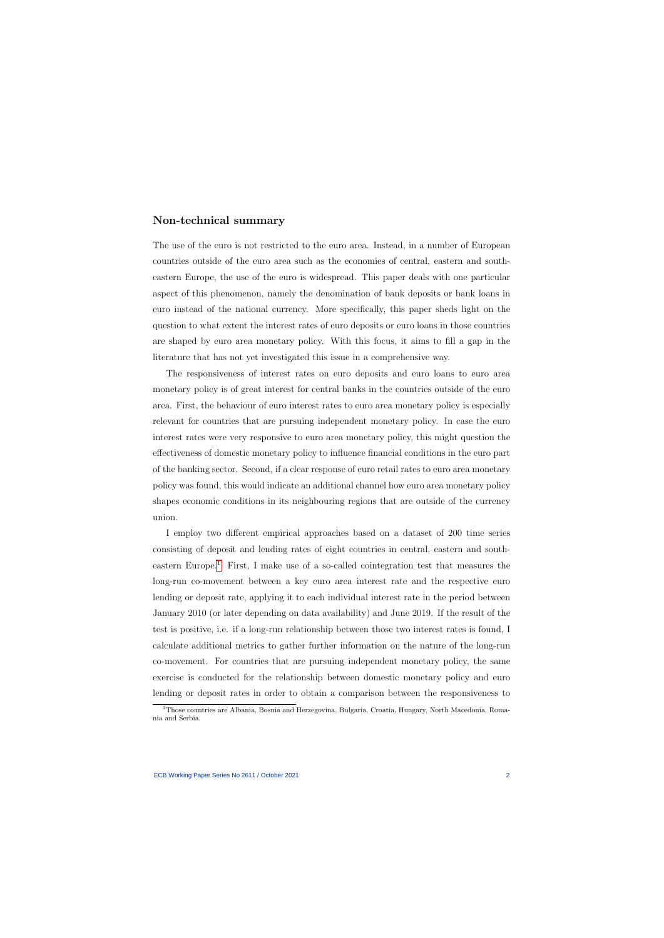# Non-technical summary

The use of the euro is not restricted to the euro area. Instead, in a number of European countries outside of the euro area such as the economies of central, eastern and southeastern Europe, the use of the euro is widespread. This paper deals with one particular aspect of this phenomenon, namely the denomination of bank deposits or bank loans in euro instead of the national currency. More specifically, this paper sheds light on the question to what extent the interest rates of euro deposits or euro loans in those countries are shaped by euro area monetary policy. With this focus, it aims to fill a gap in the literature that has not yet investigated this issue in a comprehensive way.

The responsiveness of interest rates on euro deposits and euro loans to euro area monetary policy is of great interest for central banks in the countries outside of the euro area. First, the behaviour of euro interest rates to euro area monetary policy is especially relevant for countries that are pursuing independent monetary policy. In case the euro interest rates were very responsive to euro area monetary policy, this might question the effectiveness of domestic monetary policy to influence financial conditions in the euro part of the banking sector. Second, if a clear response of euro retail rates to euro area monetary policy was found, this would indicate an additional channel how euro area monetary policy shapes economic conditions in its neighbouring regions that are outside of the currency union.

I employ two different empirical approaches based on a dataset of 200 time series consisting of deposit and lending rates of eight countries in central, eastern and south-eastern Europe.<sup>[1](#page-2-0)</sup> First, I make use of a so-called cointegration test that measures the long-run co-movement between a key euro area interest rate and the respective euro lending or deposit rate, applying it to each individual interest rate in the period between January 2010 (or later depending on data availability) and June 2019. If the result of the test is positive, i.e. if a long-run relationship between those two interest rates is found, I calculate additional metrics to gather further information on the nature of the long-run co-movement. For countries that are pursuing independent monetary policy, the same exercise is conducted for the relationship between domestic monetary policy and euro lending or deposit rates in order to obtain a comparison between the responsiveness to

<span id="page-2-0"></span><sup>&</sup>lt;sup>1</sup>Those countries are Albania, Bosnia and Herzegovina, Bulgaria, Croatia, Hungary, North Macedonia, Romania and Serbia.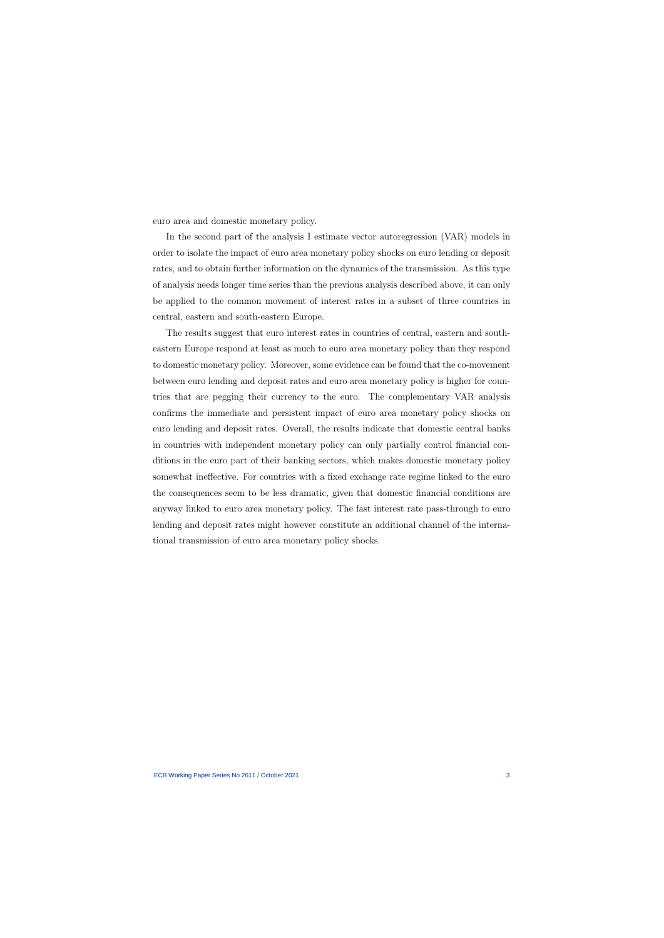euro area and domestic monetary policy.

In the second part of the analysis I estimate vector autoregression (VAR) models in order to isolate the impact of euro area monetary policy shocks on euro lending or deposit rates, and to obtain further information on the dynamics of the transmission. As this type of analysis needs longer time series than the previous analysis described above, it can only be applied to the common movement of interest rates in a subset of three countries in central, eastern and south-eastern Europe.

The results suggest that euro interest rates in countries of central, eastern and southeastern Europe respond at least as much to euro area monetary policy than they respond to domestic monetary policy. Moreover, some evidence can be found that the co-movement between euro lending and deposit rates and euro area monetary policy is higher for countries that are pegging their currency to the euro. The complementary VAR analysis confirms the immediate and persistent impact of euro area monetary policy shocks on euro lending and deposit rates. Overall, the results indicate that domestic central banks in countries with independent monetary policy can only partially control financial conditions in the euro part of their banking sectors, which makes domestic monetary policy somewhat ineffective. For countries with a fixed exchange rate regime linked to the euro the consequences seem to be less dramatic, given that domestic financial conditions are anyway linked to euro area monetary policy. The fast interest rate pass-through to euro lending and deposit rates might however constitute an additional channel of the international transmission of euro area monetary policy shocks.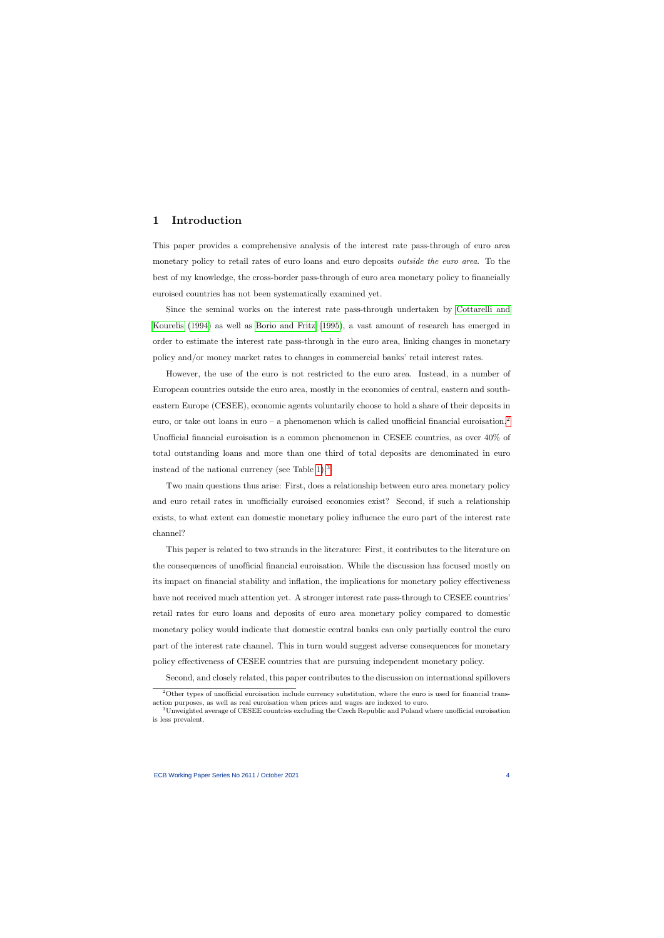# 1 Introduction

This paper provides a comprehensive analysis of the interest rate pass-through of euro area monetary policy to retail rates of euro loans and euro deposits *outside the euro area*. To the best of my knowledge, the cross-border pass-through of euro area monetary policy to financially euroised countries has not been systematically examined yet.

Since the seminal works on the interest rate pass-through undertaken by [Cottarelli and](#page-34-0) [Kourelis](#page-34-0) [\(1994\)](#page-34-0) as well as [Borio and Fritz](#page-34-1) [\(1995\)](#page-34-1), a vast amount of research has emerged in order to estimate the interest rate pass-through in the euro area, linking changes in monetary policy and/or money market rates to changes in commercial banks' retail interest rates.

However, the use of the euro is not restricted to the euro area. Instead, in a number of European countries outside the euro area, mostly in the economies of central, eastern and southeastern Europe (CESEE), economic agents voluntarily choose to hold a share of their deposits in euro, or take out loans in euro – a phenomenon which is called unofficial financial euroisation.<sup>[2](#page-4-0)</sup> Unofficial financial euroisation is a common phenomenon in CESEE countries, as over 40% of total outstanding loans and more than one third of total deposits are denominated in euro instead of the national currency (see Table [1\)](#page-22-0).[3](#page-4-1)

Two main questions thus arise: First, does a relationship between euro area monetary policy and euro retail rates in unofficially euroised economies exist? Second, if such a relationship exists, to what extent can domestic monetary policy influence the euro part of the interest rate channel?

This paper is related to two strands in the literature: First, it contributes to the literature on the consequences of unofficial financial euroisation. While the discussion has focused mostly on its impact on financial stability and inflation, the implications for monetary policy effectiveness have not received much attention yet. A stronger interest rate pass-through to CESEE countries' retail rates for euro loans and deposits of euro area monetary policy compared to domestic monetary policy would indicate that domestic central banks can only partially control the euro part of the interest rate channel. This in turn would suggest adverse consequences for monetary policy effectiveness of CESEE countries that are pursuing independent monetary policy.

Second, and closely related, this paper contributes to the discussion on international spillovers

 $2$ Other types of unofficial euroisation include currency substitution, where the euro is used for financial transaction purposes, as well as real euroisation when prices and wages are indexed to euro.

<span id="page-4-1"></span><span id="page-4-0"></span><sup>3</sup>Unweighted average of CESEE countries excluding the Czech Republic and Poland where unofficial euroisation is less prevalent.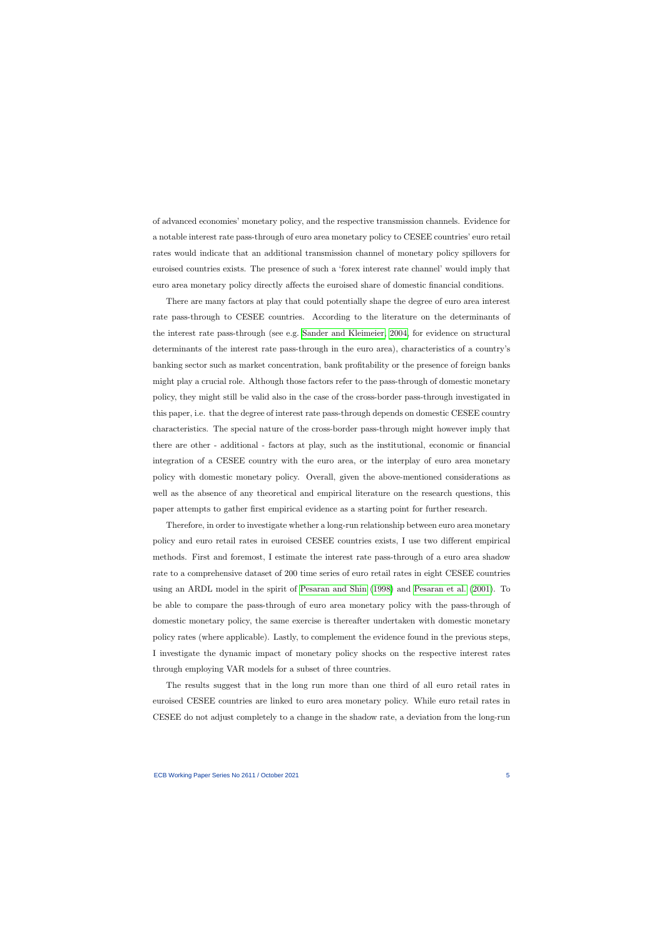of advanced economies' monetary policy, and the respective transmission channels. Evidence for a notable interest rate pass-through of euro area monetary policy to CESEE countries' euro retail rates would indicate that an additional transmission channel of monetary policy spillovers for euroised countries exists. The presence of such a 'forex interest rate channel' would imply that euro area monetary policy directly affects the euroised share of domestic financial conditions.

There are many factors at play that could potentially shape the degree of euro area interest rate pass-through to CESEE countries. According to the literature on the determinants of the interest rate pass-through (see e.g. [Sander and Kleimeier, 2004,](#page-37-0) for evidence on structural determinants of the interest rate pass-through in the euro area), characteristics of a country's banking sector such as market concentration, bank profitability or the presence of foreign banks might play a crucial role. Although those factors refer to the pass-through of domestic monetary policy, they might still be valid also in the case of the cross-border pass-through investigated in this paper, i.e. that the degree of interest rate pass-through depends on domestic CESEE country characteristics. The special nature of the cross-border pass-through might however imply that there are other - additional - factors at play, such as the institutional, economic or financial integration of a CESEE country with the euro area, or the interplay of euro area monetary policy with domestic monetary policy. Overall, given the above-mentioned considerations as well as the absence of any theoretical and empirical literature on the research questions, this paper attempts to gather first empirical evidence as a starting point for further research.

Therefore, in order to investigate whether a long-run relationship between euro area monetary policy and euro retail rates in euroised CESEE countries exists, I use two different empirical methods. First and foremost, I estimate the interest rate pass-through of a euro area shadow rate to a comprehensive dataset of 200 time series of euro retail rates in eight CESEE countries using an ARDL model in the spirit of [Pesaran and Shin](#page-36-0) [\(1998\)](#page-36-0) and [Pesaran et al.](#page-36-1) [\(2001\)](#page-36-1). To be able to compare the pass-through of euro area monetary policy with the pass-through of domestic monetary policy, the same exercise is thereafter undertaken with domestic monetary policy rates (where applicable). Lastly, to complement the evidence found in the previous steps, I investigate the dynamic impact of monetary policy shocks on the respective interest rates through employing VAR models for a subset of three countries.

The results suggest that in the long run more than one third of all euro retail rates in euroised CESEE countries are linked to euro area monetary policy. While euro retail rates in CESEE do not adjust completely to a change in the shadow rate, a deviation from the long-run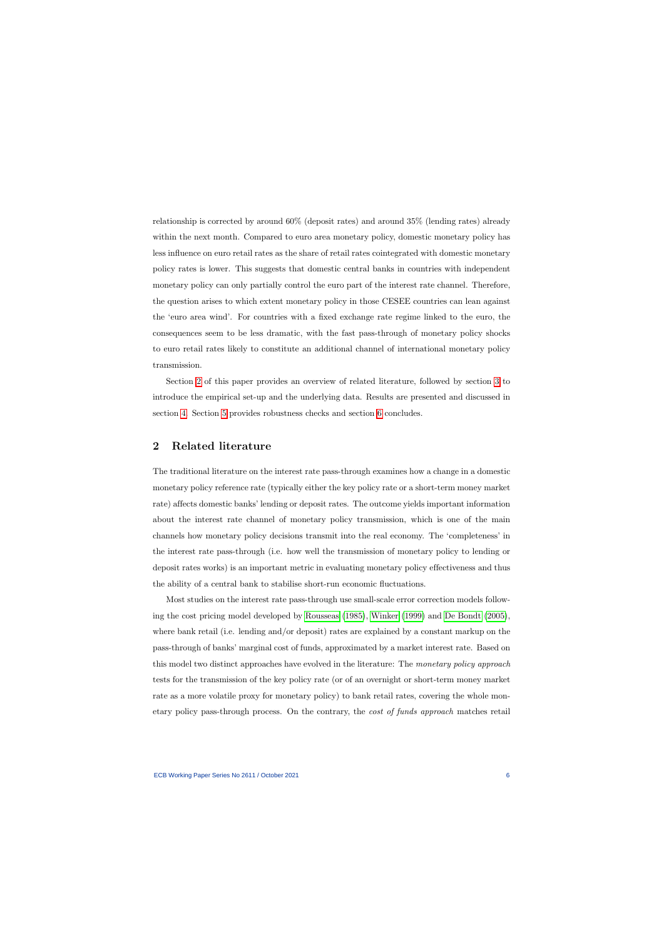relationship is corrected by around 60% (deposit rates) and around 35% (lending rates) already within the next month. Compared to euro area monetary policy, domestic monetary policy has less influence on euro retail rates as the share of retail rates cointegrated with domestic monetary policy rates is lower. This suggests that domestic central banks in countries with independent monetary policy can only partially control the euro part of the interest rate channel. Therefore, the question arises to which extent monetary policy in those CESEE countries can lean against the 'euro area wind'. For countries with a fixed exchange rate regime linked to the euro, the consequences seem to be less dramatic, with the fast pass-through of monetary policy shocks to euro retail rates likely to constitute an additional channel of international monetary policy transmission.

Section [2](#page-6-0) of this paper provides an overview of related literature, followed by section [3](#page-9-0) to introduce the empirical set-up and the underlying data. Results are presented and discussed in section [4.](#page-15-0) Section [5](#page-19-0) provides robustness checks and section [6](#page-20-0) concludes.

# 2 Related literature

The traditional literature on the interest rate pass-through examines how a change in a domestic monetary policy reference rate (typically either the key policy rate or a short-term money market rate) affects domestic banks' lending or deposit rates. The outcome yields important information about the interest rate channel of monetary policy transmission, which is one of the main channels how monetary policy decisions transmit into the real economy. The 'completeness' in the interest rate pass-through (i.e. how well the transmission of monetary policy to lending or deposit rates works) is an important metric in evaluating monetary policy effectiveness and thus the ability of a central bank to stabilise short-run economic fluctuations.

<span id="page-6-0"></span>Most studies on the interest rate pass-through use small-scale error correction models following the cost pricing model developed by [Rousseas](#page-36-2) [\(1985\)](#page-36-2), [Winker](#page-37-1) [\(1999\)](#page-37-1) and [De Bondt](#page-34-2) [\(2005\)](#page-34-2), where bank retail (i.e. lending and/or deposit) rates are explained by a constant markup on the pass-through of banks' marginal cost of funds, approximated by a market interest rate. Based on this model two distinct approaches have evolved in the literature: The monetary policy approach tests for the transmission of the key policy rate (or of an overnight or short-term money market rate as a more volatile proxy for monetary policy) to bank retail rates, covering the whole monetary policy pass-through process. On the contrary, the cost of funds approach matches retail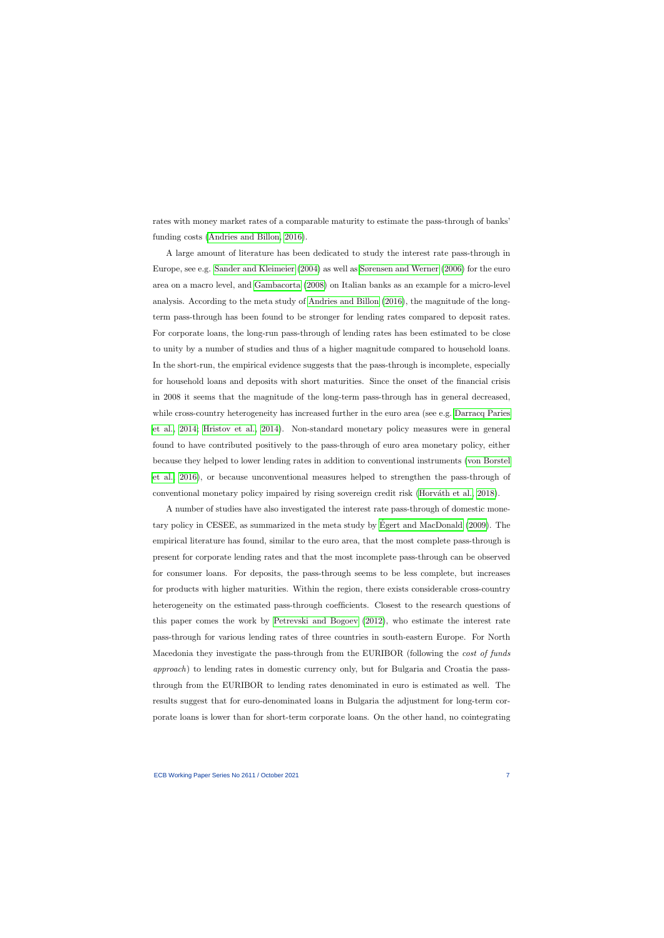rates with money market rates of a comparable maturity to estimate the pass-through of banks' funding costs [\(Andries and Billon, 2016\)](#page-34-3).

A large amount of literature has been dedicated to study the interest rate pass-through in Europe, see e.g. [Sander and Kleimeier](#page-37-0) [\(2004\)](#page-37-0) as well as [Sørensen and Werner](#page-37-2) [\(2006\)](#page-37-2) for the euro area on a macro level, and [Gambacorta](#page-35-0) [\(2008\)](#page-35-0) on Italian banks as an example for a micro-level analysis. According to the meta study of [Andries and Billon](#page-34-3) [\(2016\)](#page-34-3), the magnitude of the longterm pass-through has been found to be stronger for lending rates compared to deposit rates. For corporate loans, the long-run pass-through of lending rates has been estimated to be close to unity by a number of studies and thus of a higher magnitude compared to household loans. In the short-run, the empirical evidence suggests that the pass-through is incomplete, especially for household loans and deposits with short maturities. Since the onset of the financial crisis in 2008 it seems that the magnitude of the long-term pass-through has in general decreased, while cross-country heterogeneity has increased further in the euro area (see e.g. [Darracq Paries](#page-34-4) [et al., 2014;](#page-34-4) [Hristov et al., 2014\)](#page-35-1). Non-standard monetary policy measures were in general found to have contributed positively to the pass-through of euro area monetary policy, either because they helped to lower lending rates in addition to conventional instruments [\(von Borstel](#page-37-3) [et al., 2016\)](#page-37-3), or because unconventional measures helped to strengthen the pass-through of conventional monetary policy impaired by rising sovereign credit risk (Horváth et al., 2018).

A number of studies have also investigated the interest rate pass-through of domestic monetary policy in CESEE, as summarized in the meta study by [Egert and MacDonald](#page-35-3) [\(2009\)](#page-35-3). The ´ empirical literature has found, similar to the euro area, that the most complete pass-through is present for corporate lending rates and that the most incomplete pass-through can be observed for consumer loans. For deposits, the pass-through seems to be less complete, but increases for products with higher maturities. Within the region, there exists considerable cross-country heterogeneity on the estimated pass-through coefficients. Closest to the research questions of this paper comes the work by [Petrevski and Bogoev](#page-36-3) [\(2012\)](#page-36-3), who estimate the interest rate pass-through for various lending rates of three countries in south-eastern Europe. For North Macedonia they investigate the pass-through from the EURIBOR (following the *cost of funds* approach) to lending rates in domestic currency only, but for Bulgaria and Croatia the passthrough from the EURIBOR to lending rates denominated in euro is estimated as well. The results suggest that for euro-denominated loans in Bulgaria the adjustment for long-term corporate loans is lower than for short-term corporate loans. On the other hand, no cointegrating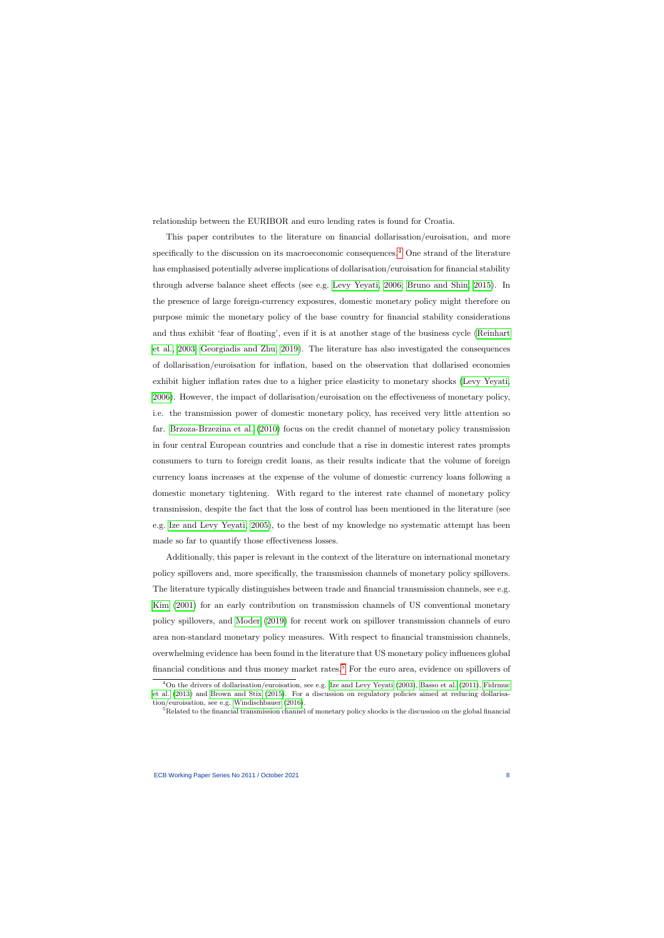relationship between the EURIBOR and euro lending rates is found for Croatia.

This paper contributes to the literature on financial dollarisation/euroisation, and more specifically to the discussion on its macroeconomic consequences.<sup>[4](#page-8-0)</sup> One strand of the literature has emphasised potentially adverse implications of dollarisation/euroisation for financial stability through adverse balance sheet effects (see e.g. [Levy Yeyati, 2006;](#page-36-4) [Bruno and Shin, 2015\)](#page-34-5). In the presence of large foreign-currency exposures, domestic monetary policy might therefore on purpose mimic the monetary policy of the base country for financial stability considerations and thus exhibit 'fear of floating', even if it is at another stage of the business cycle [\(Reinhart](#page-36-5) [et al., 2003;](#page-36-5) [Georgiadis and Zhu, 2019\)](#page-35-4). The literature has also investigated the consequences of dollarisation/euroisation for inflation, based on the observation that dollarised economies exhibit higher inflation rates due to a higher price elasticity to monetary shocks [\(Levy Yeyati,](#page-36-4) [2006\)](#page-36-4). However, the impact of dollarisation/euroisation on the effectiveness of monetary policy, i.e. the transmission power of domestic monetary policy, has received very little attention so far. [Brzoza-Brzezina et al.](#page-34-6) [\(2010\)](#page-34-6) focus on the credit channel of monetary policy transmission in four central European countries and conclude that a rise in domestic interest rates prompts consumers to turn to foreign credit loans, as their results indicate that the volume of foreign currency loans increases at the expense of the volume of domestic currency loans following a domestic monetary tightening. With regard to the interest rate channel of monetary policy transmission, despite the fact that the loss of control has been mentioned in the literature (see e.g. [Ize and Levy Yeyati, 2005\)](#page-35-5), to the best of my knowledge no systematic attempt has been made so far to quantify those effectiveness losses.

Additionally, this paper is relevant in the context of the literature on international monetary policy spillovers and, more specifically, the transmission channels of monetary policy spillovers. The literature typically distinguishes between trade and financial transmission channels, see e.g. [Kim](#page-36-6) [\(2001\)](#page-36-6) for an early contribution on transmission channels of US conventional monetary policy spillovers, and [Moder](#page-36-7) [\(2019\)](#page-36-7) for recent work on spillover transmission channels of euro area non-standard monetary policy measures. With respect to financial transmission channels, overwhelming evidence has been found in the literature that US monetary policy influences global financial conditions and thus money market rates.<sup>[5](#page-8-1)</sup> For the euro area, evidence on spillovers of

 $^{4}$ On the drivers of dollarisation/euroisation, see e.g. [Ize and Levy Yeyati](#page-35-6) [\(2003\)](#page-35-6), [Basso et al.](#page-34-7) [\(2011\)](#page-34-7), [Fidrmuc](#page-35-7) [et al.](#page-35-7) [\(2013\)](#page-35-7) and [Brown and Stix](#page-34-8) [\(2015\)](#page-34-8). For a discussion on regulatory policies aimed at reducing dollarisation/euroisation, see e.g. [Windischbauer](#page-37-4) [\(2016\)](#page-37-4).

<span id="page-8-1"></span><span id="page-8-0"></span><sup>&</sup>lt;sup>5</sup>Related to the financial transmission channel of monetary policy shocks is the discussion on the global financial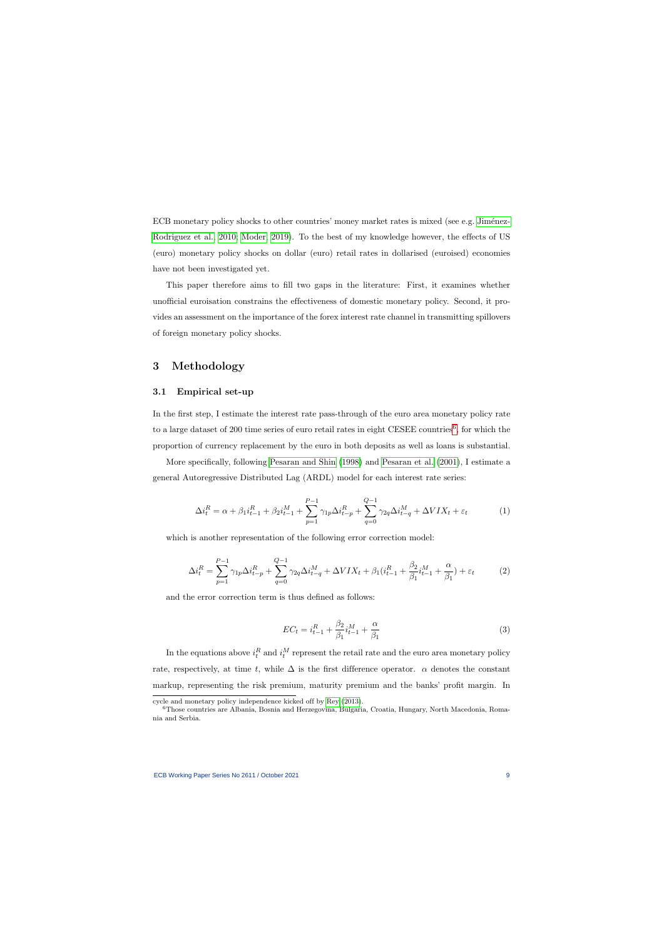ECB monetary policy shocks to other countries' money market rates is mixed (see e.g. Jiménez-[Rodriguez et al., 2010;](#page-35-8) [Moder, 2019\)](#page-36-7). To the best of my knowledge however, the effects of US (euro) monetary policy shocks on dollar (euro) retail rates in dollarised (euroised) economies have not been investigated yet.

This paper therefore aims to fill two gaps in the literature: First, it examines whether unofficial euroisation constrains the effectiveness of domestic monetary policy. Second, it provides an assessment on the importance of the forex interest rate channel in transmitting spillovers of foreign monetary policy shocks.

# 3 Methodology

#### 3.1 Empirical set-up

In the first step, I estimate the interest rate pass-through of the euro area monetary policy rate to a large dataset of 200 time series of euro retail rates in eight CESEE countries<sup>[6](#page-9-1)</sup>, for which the proportion of currency replacement by the euro in both deposits as well as loans is substantial.

<span id="page-9-0"></span>More specifically, following [Pesaran and Shin](#page-36-0) [\(1998\)](#page-36-0) and [Pesaran et al.](#page-36-1) [\(2001\)](#page-36-1), I estimate a general Autoregressive Distributed Lag (ARDL) model for each interest rate series:

$$
\Delta i_t^R = \alpha + \beta_1 i_{t-1}^R + \beta_2 i_{t-1}^M + \sum_{p=1}^{P-1} \gamma_{1p} \Delta i_{t-p}^R + \sum_{q=0}^{Q-1} \gamma_{2q} \Delta i_{t-q}^M + \Delta V I X_t + \varepsilon_t
$$
 (1)

<span id="page-9-2"></span>which is another representation of the following error correction model:

$$
\Delta i_t^R = \sum_{p=1}^{P-1} \gamma_{1p} \Delta i_{t-p}^R + \sum_{q=0}^{Q-1} \gamma_{2q} \Delta i_{t-q}^M + \Delta VIX_t + \beta_1 (i_{t-1}^R + \frac{\beta_2}{\beta_1} i_{t-1}^M + \frac{\alpha}{\beta_1}) + \varepsilon_t
$$
(2)

and the error correction term is thus defined as follows:

$$
EC_t = i_{t-1}^R + \frac{\beta_2}{\beta_1} i_{t-1}^M + \frac{\alpha}{\beta_1}
$$
\n(3)

In the equations above  $i_t^R$  and  $i_t^M$  represent the retail rate and the euro area monetary policy rate, respectively, at time t, while  $\Delta$  is the first difference operator.  $\alpha$  denotes the constant markup, representing the risk premium, maturity premium and the banks' profit margin. In

cycle and monetary policy independence kicked off by [Rey](#page-36-8) [\(2013\)](#page-36-8).

<span id="page-9-1"></span><sup>6</sup>Those countries are Albania, Bosnia and Herzegovina, Bulgaria, Croatia, Hungary, North Macedonia, Romania and Serbia.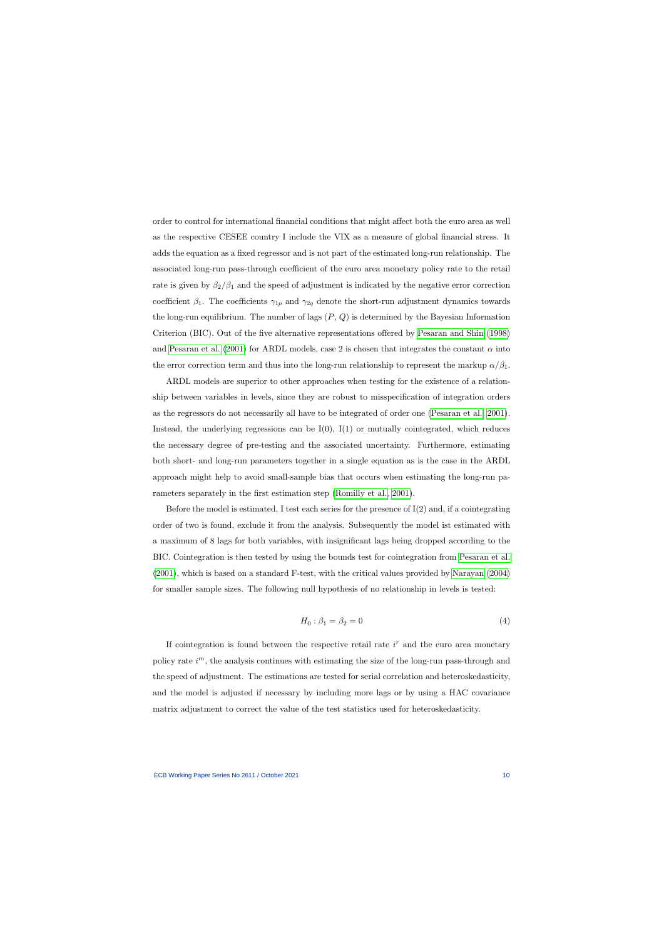order to control for international financial conditions that might affect both the euro area as well as the respective CESEE country I include the VIX as a measure of global financial stress. It adds the equation as a fixed regressor and is not part of the estimated long-run relationship. The associated long-run pass-through coefficient of the euro area monetary policy rate to the retail rate is given by  $\beta_2/\beta_1$  and the speed of adjustment is indicated by the negative error correction coefficient  $\beta_1$ . The coefficients  $\gamma_{1p}$  and  $\gamma_{2q}$  denote the short-run adjustment dynamics towards the long-run equilibrium. The number of lags  $(P, Q)$  is determined by the Bayesian Information Criterion (BIC). Out of the five alternative representations offered by [Pesaran and Shin](#page-36-0) [\(1998\)](#page-36-0) and [Pesaran et al.](#page-36-1) [\(2001\)](#page-36-1) for ARDL models, case 2 is chosen that integrates the constant  $\alpha$  into the error correction term and thus into the long-run relationship to represent the markup  $\alpha/\beta_1$ .

ARDL models are superior to other approaches when testing for the existence of a relationship between variables in levels, since they are robust to misspecification of integration orders as the regressors do not necessarily all have to be integrated of order one [\(Pesaran et al., 2001\)](#page-36-1). Instead, the underlying regressions can be  $I(0)$ ,  $I(1)$  or mutually cointegrated, which reduces the necessary degree of pre-testing and the associated uncertainty. Furthermore, estimating both short- and long-run parameters together in a single equation as is the case in the ARDL approach might help to avoid small-sample bias that occurs when estimating the long-run parameters separately in the first estimation step [\(Romilly et al., 2001\)](#page-36-9).

Before the model is estimated, I test each series for the presence of  $I(2)$  and, if a cointegrating order of two is found, exclude it from the analysis. Subsequently the model ist estimated with a maximum of 8 lags for both variables, with insignificant lags being dropped according to the BIC. Cointegration is then tested by using the bounds test for cointegration from [Pesaran et al.](#page-36-1) [\(2001\)](#page-36-1), which is based on a standard F-test, with the critical values provided by [Narayan](#page-36-10) [\(2004\)](#page-36-10) for smaller sample sizes. The following null hypothesis of no relationship in levels is tested:

$$
H_0: \beta_1 = \beta_2 = 0 \tag{4}
$$

If cointegration is found between the respective retail rate  $i<sup>r</sup>$  and the euro area monetary policy rate  $i^m$ , the analysis continues with estimating the size of the long-run pass-through and the speed of adjustment. The estimations are tested for serial correlation and heteroskedasticity, and the model is adjusted if necessary by including more lags or by using a HAC covariance matrix adjustment to correct the value of the test statistics used for heteroskedasticity.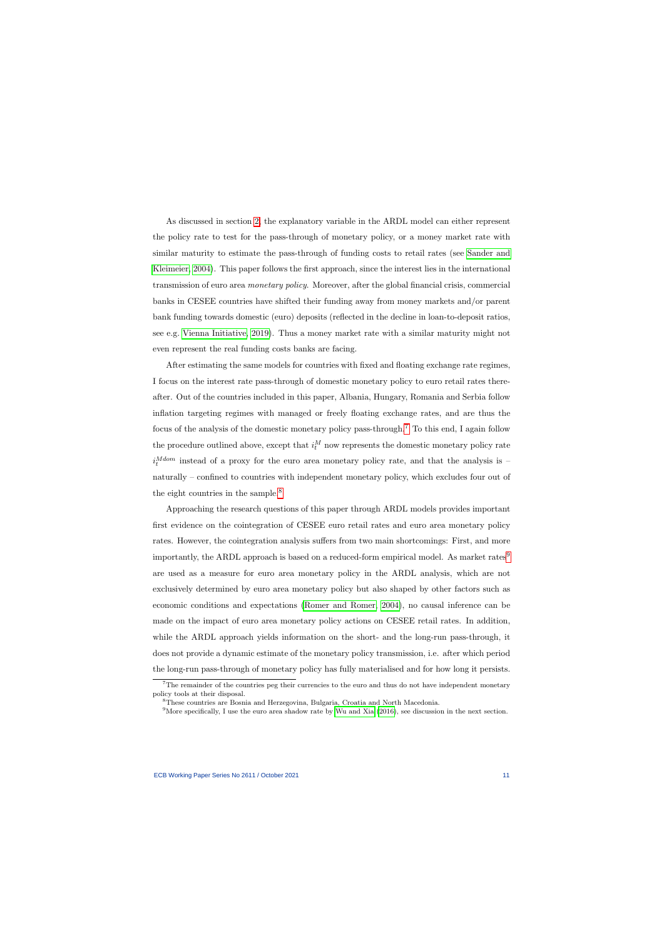As discussed in section [2,](#page-6-0) the explanatory variable in the ARDL model can either represent the policy rate to test for the pass-through of monetary policy, or a money market rate with similar maturity to estimate the pass-through of funding costs to retail rates (see [Sander and](#page-37-0) [Kleimeier, 2004\)](#page-37-0). This paper follows the first approach, since the interest lies in the international transmission of euro area monetary policy. Moreover, after the global financial crisis, commercial banks in CESEE countries have shifted their funding away from money markets and/or parent bank funding towards domestic (euro) deposits (reflected in the decline in loan-to-deposit ratios, see e.g. [Vienna Initiative, 2019\)](#page-37-5). Thus a money market rate with a similar maturity might not even represent the real funding costs banks are facing.

After estimating the same models for countries with fixed and floating exchange rate regimes, I focus on the interest rate pass-through of domestic monetary policy to euro retail rates thereafter. Out of the countries included in this paper, Albania, Hungary, Romania and Serbia follow inflation targeting regimes with managed or freely floating exchange rates, and are thus the focus of the analysis of the domestic monetary policy pass-through.[7](#page-11-0) To this end, I again follow the procedure outlined above, except that  $i_t^M$  now represents the domestic monetary policy rate  $i_t^{Mdom}$  instead of a proxy for the euro area monetary policy rate, and that the analysis is – naturally – confined to countries with independent monetary policy, which excludes four out of the eight countries in the sample.<sup>[8](#page-11-1)</sup>

Approaching the research questions of this paper through ARDL models provides important first evidence on the cointegration of CESEE euro retail rates and euro area monetary policy rates. However, the cointegration analysis suffers from two main shortcomings: First, and more importantly, the ARDL approach is based on a reduced-form empirical model. As market rates<sup>[9](#page-11-2)</sup> are used as a measure for euro area monetary policy in the ARDL analysis, which are not exclusively determined by euro area monetary policy but also shaped by other factors such as economic conditions and expectations [\(Romer and Romer, 2004\)](#page-36-11), no causal inference can be made on the impact of euro area monetary policy actions on CESEE retail rates. In addition, while the ARDL approach yields information on the short- and the long-run pass-through, it does not provide a dynamic estimate of the monetary policy transmission, i.e. after which period the long-run pass-through of monetary policy has fully materialised and for how long it persists.

<sup>&</sup>lt;sup>7</sup>The remainder of the countries peg their currencies to the euro and thus do not have independent monetary policy tools at their disposal.

<sup>8</sup>These countries are Bosnia and Herzegovina, Bulgaria, Croatia and North Macedonia.

<span id="page-11-2"></span><span id="page-11-1"></span><span id="page-11-0"></span> $9^9$ More specifically, I use the euro area shadow rate by [Wu and Xia](#page-37-6) [\(2016\)](#page-37-6), see discussion in the next section.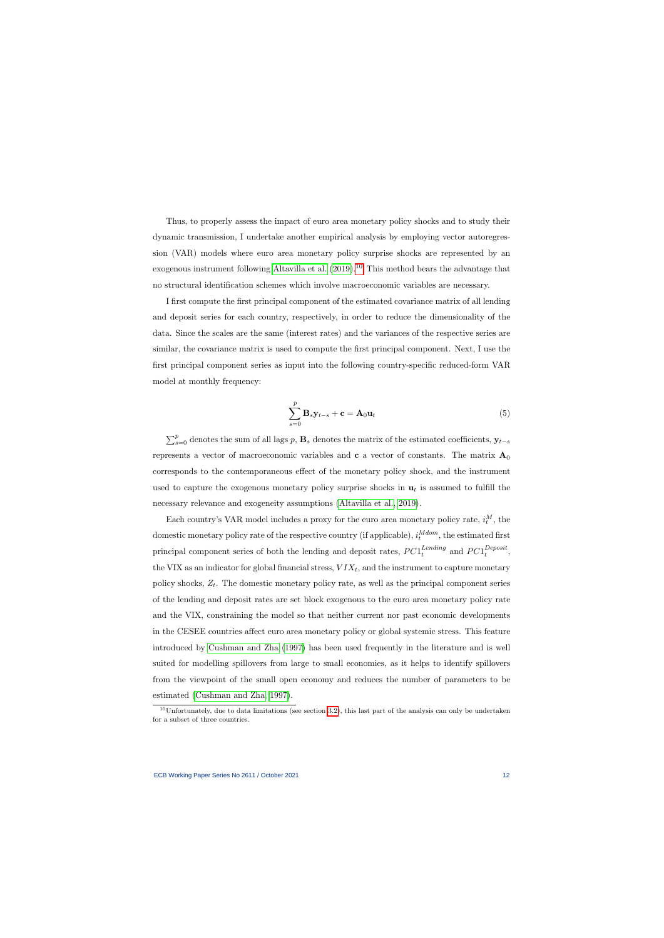Thus, to properly assess the impact of euro area monetary policy shocks and to study their dynamic transmission, I undertake another empirical analysis by employing vector autoregression (VAR) models where euro area monetary policy surprise shocks are represented by an exogenous instrument following [Altavilla et al.](#page-34-9)  $(2019).<sup>10</sup>$  $(2019).<sup>10</sup>$  $(2019).<sup>10</sup>$  $(2019).<sup>10</sup>$  This method bears the advantage that no structural identification schemes which involve macroeconomic variables are necessary.

I first compute the first principal component of the estimated covariance matrix of all lending and deposit series for each country, respectively, in order to reduce the dimensionality of the data. Since the scales are the same (interest rates) and the variances of the respective series are similar, the covariance matrix is used to compute the first principal component. Next, I use the first principal component series as input into the following country-specific reduced-form VAR model at monthly frequency:

$$
\sum_{s=0}^{p} \mathbf{B}_{s} \mathbf{y}_{t-s} + \mathbf{c} = \mathbf{A}_{0} \mathbf{u}_{t}
$$
 (5)

 $\sum_{s=0}^{p}$  denotes the sum of all lags p,  $\mathbf{B}_s$  denotes the matrix of the estimated coefficients,  $\mathbf{y}_{t-s}$ represents a vector of macroeconomic variables and **c** a vector of constants. The matrix  $A_0$ corresponds to the contemporaneous effect of the monetary policy shock, and the instrument used to capture the exogenous monetary policy surprise shocks in  $\mathbf{u}_t$  is assumed to fulfill the necessary relevance and exogeneity assumptions [\(Altavilla et al., 2019\)](#page-34-9).

Each country's VAR model includes a proxy for the euro area monetary policy rate,  $i_t^M$ , the domestic monetary policy rate of the respective country (if applicable),  $i_t^{Mdom}$ , the estimated first principal component series of both the lending and deposit rates,  $PC1_t^{Lending}$  $_{t}^{Lending}$  and  $PC1_t^{Deposit}$  $\nu^{eposit},$ the VIX as an indicator for global financial stress,  $VIX_t$ , and the instrument to capture monetary policy shocks,  $Z_t$ . The domestic monetary policy rate, as well as the principal component series of the lending and deposit rates are set block exogenous to the euro area monetary policy rate and the VIX, constraining the model so that neither current nor past economic developments in the CESEE countries affect euro area monetary policy or global systemic stress. This feature introduced by [Cushman and Zha](#page-34-10) [\(1997\)](#page-34-10) has been used frequently in the literature and is well suited for modelling spillovers from large to small economies, as it helps to identify spillovers from the viewpoint of the small open economy and reduces the number of parameters to be estimated [\(Cushman and Zha, 1997\)](#page-34-10).

<span id="page-12-0"></span> $10$ Unfortunately, due to data limitations (see section [3.2\)](#page-13-0), this last part of the analysis can only be undertaken for a subset of three countries.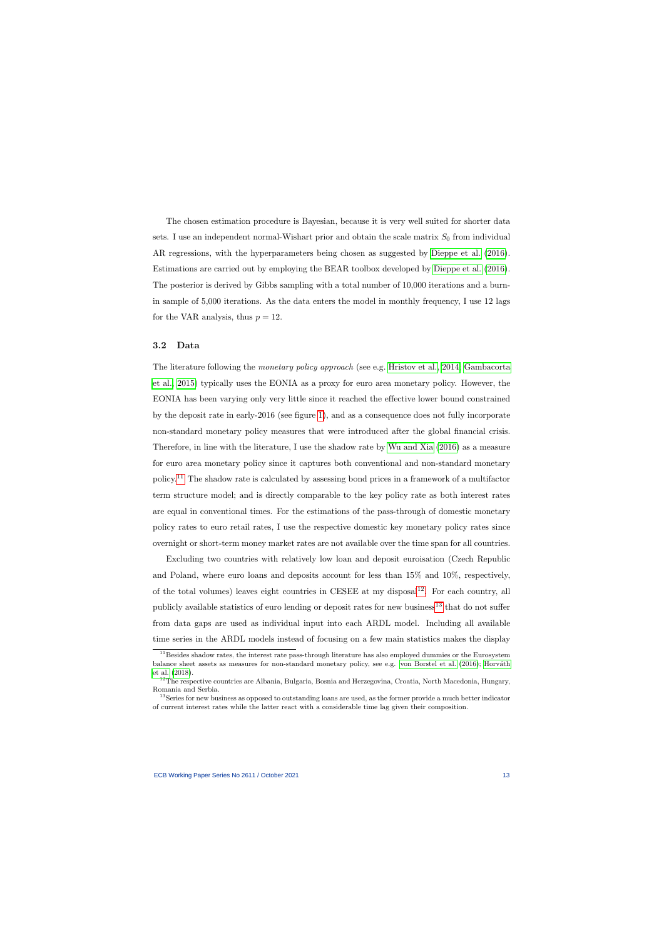The chosen estimation procedure is Bayesian, because it is very well suited for shorter data sets. I use an independent normal-Wishart prior and obtain the scale matrix  $S_0$  from individual AR regressions, with the hyperparameters being chosen as suggested by [Dieppe et al.](#page-35-9) [\(2016\)](#page-35-9). Estimations are carried out by employing the BEAR toolbox developed by [Dieppe et al.](#page-35-9) [\(2016\)](#page-35-9). The posterior is derived by Gibbs sampling with a total number of 10,000 iterations and a burnin sample of 5,000 iterations. As the data enters the model in monthly frequency, I use 12 lags for the VAR analysis, thus  $p = 12$ .

#### 3.2 Data

The literature following the monetary policy approach (see e.g. [Hristov et al., 2014;](#page-35-1) [Gambacorta](#page-35-10) [et al., 2015\)](#page-35-10) typically uses the EONIA as a proxy for euro area monetary policy. However, the EONIA has been varying only very little since it reached the effective lower bound constrained by the deposit rate in early-2016 (see figure [1\)](#page-25-0), and as a consequence does not fully incorporate non-standard monetary policy measures that were introduced after the global financial crisis. Therefore, in line with the literature, I use the shadow rate by [Wu and Xia](#page-37-6) [\(2016\)](#page-37-6) as a measure for euro area monetary policy since it captures both conventional and non-standard monetary policy.[11](#page-13-1) The shadow rate is calculated by assessing bond prices in a framework of a multifactor term structure model; and is directly comparable to the key policy rate as both interest rates are equal in conventional times. For the estimations of the pass-through of domestic monetary policy rates to euro retail rates, I use the respective domestic key monetary policy rates since overnight or short-term money market rates are not available over the time span for all countries.

<span id="page-13-0"></span>Excluding two countries with relatively low loan and deposit euroisation (Czech Republic and Poland, where euro loans and deposits account for less than 15% and 10%, respectively, of the total volumes) leaves eight countries in CESEE at my disposal<sup>[12](#page-13-2)</sup>. For each country, all publicly available statistics of euro lending or deposit rates for new business<sup>[13](#page-13-3)</sup> that do not suffer from data gaps are used as individual input into each ARDL model. Including all available time series in the ARDL models instead of focusing on a few main statistics makes the display

 $11$ Besides shadow rates, the interest rate pass-through literature has also employed dummies or the Eurosystem balance sheet assets as measures for non-standard monetary policy, see e.g. [von Borstel et al.](#page-37-3) [\(2016\)](#page-37-3); Horváth [et al.](#page-35-2) [\(2018\)](#page-35-2).

<sup>&</sup>lt;sup>12</sup>The respective countries are Albania, Bulgaria, Bosnia and Herzegovina, Croatia, North Macedonia, Hungary, Romania and Serbia.

<span id="page-13-3"></span><span id="page-13-2"></span><span id="page-13-1"></span><sup>&</sup>lt;sup>13</sup>Series for new business as opposed to outstanding loans are used, as the former provide a much better indicator of current interest rates while the latter react with a considerable time lag given their composition.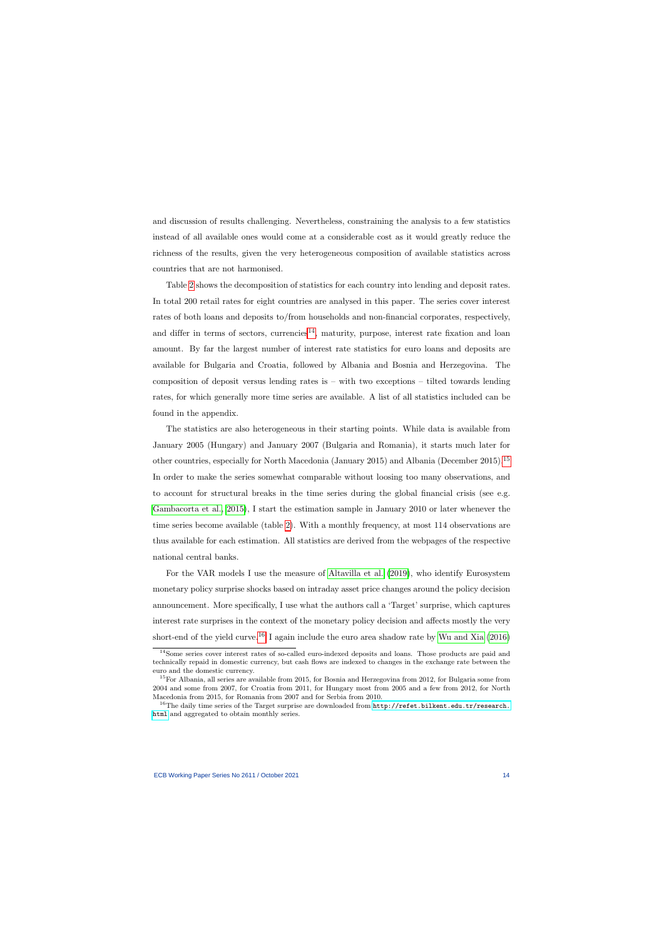and discussion of results challenging. Nevertheless, constraining the analysis to a few statistics instead of all available ones would come at a considerable cost as it would greatly reduce the richness of the results, given the very heterogeneous composition of available statistics across countries that are not harmonised.

Table [2](#page-22-1) shows the decomposition of statistics for each country into lending and deposit rates. In total 200 retail rates for eight countries are analysed in this paper. The series cover interest rates of both loans and deposits to/from households and non-financial corporates, respectively, and differ in terms of sectors, currencies<sup>[14](#page-14-0)</sup>, maturity, purpose, interest rate fixation and loan amount. By far the largest number of interest rate statistics for euro loans and deposits are available for Bulgaria and Croatia, followed by Albania and Bosnia and Herzegovina. The composition of deposit versus lending rates is  $-$  with two exceptions  $-$  tilted towards lending rates, for which generally more time series are available. A list of all statistics included can be found in the appendix.

The statistics are also heterogeneous in their starting points. While data is available from January 2005 (Hungary) and January 2007 (Bulgaria and Romania), it starts much later for other countries, especially for North Macedonia (January 2015) and Albania (December 2015).[15](#page-14-1) In order to make the series somewhat comparable without loosing too many observations, and to account for structural breaks in the time series during the global financial crisis (see e.g. [Gambacorta et al., 2015\)](#page-35-10), I start the estimation sample in January 2010 or later whenever the time series become available (table [2\)](#page-22-1). With a monthly frequency, at most 114 observations are thus available for each estimation. All statistics are derived from the webpages of the respective national central banks.

For the VAR models I use the measure of [Altavilla et al.](#page-34-9) [\(2019\)](#page-34-9), who identify Eurosystem monetary policy surprise shocks based on intraday asset price changes around the policy decision announcement. More specifically, I use what the authors call a 'Target' surprise, which captures interest rate surprises in the context of the monetary policy decision and affects mostly the very short-end of the yield curve.<sup>[16](#page-14-2)</sup> I again include the euro area shadow rate by [Wu and Xia](#page-37-6) [\(2016\)](#page-37-6)

<sup>14</sup>Some series cover interest rates of so-called euro-indexed deposits and loans. Those products are paid and technically repaid in domestic currency, but cash flows are indexed to changes in the exchange rate between the euro and the domestic currency.

 $15$ For Albania, all series are available from 2015, for Bosnia and Herzegovina from 2012, for Bulgaria some from 2004 and some from 2007, for Croatia from 2011, for Hungary most from 2005 and a few from 2012, for North Macedonia from 2015, for Romania from 2007 and for Serbia from 2010.

<span id="page-14-2"></span><span id="page-14-1"></span><span id="page-14-0"></span><sup>&</sup>lt;sup>16</sup>The daily time series of the Target surprise are downloaded from  $http://refet.bilkent.edu.tr/research.$ [html](http://refet.bilkent.edu.tr/research.html) and aggregated to obtain monthly series.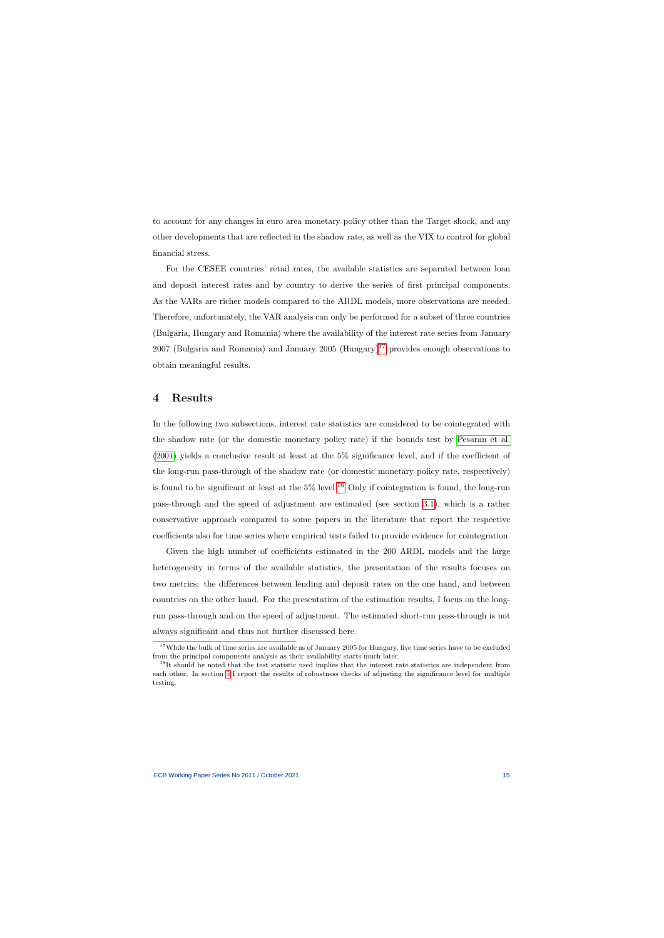to account for any changes in euro area monetary policy other than the Target shock, and any other developments that are reflected in the shadow rate, as well as the VIX to control for global financial stress.

For the CESEE countries' retail rates, the available statistics are separated between loan and deposit interest rates and by country to derive the series of first principal components. As the VARs are richer models compared to the ARDL models, more observations are needed. Therefore, unfortunately, the VAR analysis can only be performed for a subset of three countries (Bulgaria, Hungary and Romania) where the availability of the interest rate series from January 2007 (Bulgaria and Romania) and January 2005 (Hungary)<sup>[17](#page-15-1)</sup> provides enough observations to obtain meaningful results.

## 4 Results

In the following two subsections, interest rate statistics are considered to be cointegrated with the shadow rate (or the domestic monetary policy rate) if the bounds test by [Pesaran et al.](#page-36-1) [\(2001\)](#page-36-1) yields a conclusive result at least at the 5% significance level, and if the coefficient of the long-run pass-through of the shadow rate (or domestic monetary policy rate, respectively) is found to be significant at least at the  $5\%$  level.<sup>[18](#page-15-2)</sup> Only if cointegration is found, the long-run pass-through and the speed of adjustment are estimated (see section [3.1\)](#page-9-2), which is a rather conservative approach compared to some papers in the literature that report the respective coefficients also for time series where empirical tests failed to provide evidence for cointegration.

<span id="page-15-0"></span>Given the high number of coefficients estimated in the 200 ARDL models and the large heterogeneity in terms of the available statistics, the presentation of the results focuses on two metrics: the differences between lending and deposit rates on the one hand, and between countries on the other hand. For the presentation of the estimation results, I focus on the longrun pass-through and on the speed of adjustment. The estimated short-run pass-through is not always significant and thus not further discussed here.

<sup>&</sup>lt;sup>17</sup>While the bulk of time series are available as of January 2005 for Hungary, five time series have to be excluded from the principal components analysis as their availability starts much later.

<span id="page-15-2"></span><span id="page-15-1"></span><sup>&</sup>lt;sup>18</sup>It should be noted that the test statistic used implies that the interest rate statistics are independent from each other. In section [5](#page-19-0) I report the results of robustness checks of adjusting the significance level for multiple testing.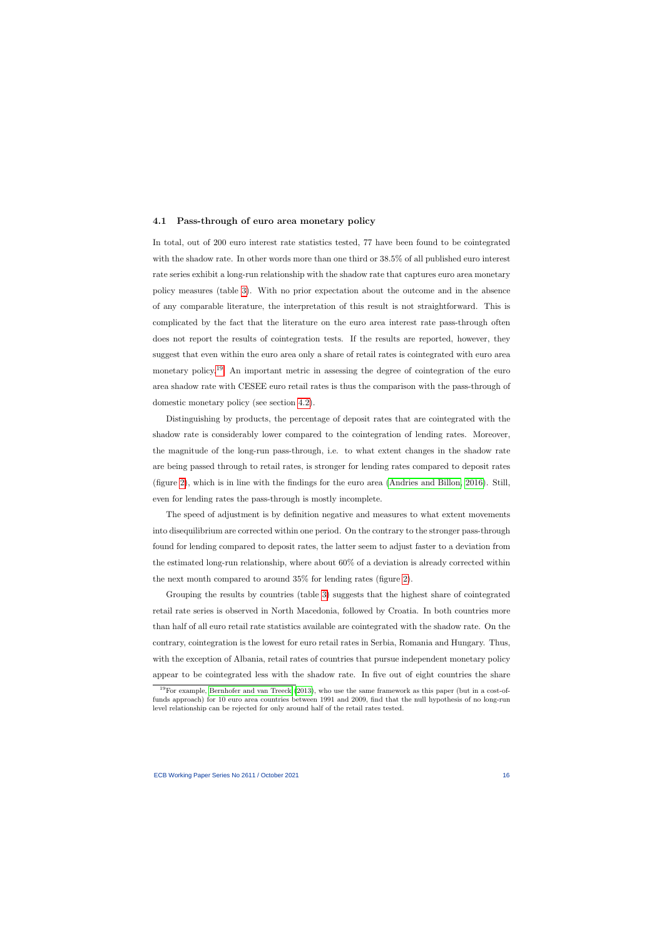#### 4.1 Pass-through of euro area monetary policy

In total, out of 200 euro interest rate statistics tested, 77 have been found to be cointegrated with the shadow rate. In other words more than one third or 38.5% of all published euro interest rate series exhibit a long-run relationship with the shadow rate that captures euro area monetary policy measures (table [3\)](#page-23-0). With no prior expectation about the outcome and in the absence of any comparable literature, the interpretation of this result is not straightforward. This is complicated by the fact that the literature on the euro area interest rate pass-through often does not report the results of cointegration tests. If the results are reported, however, they suggest that even within the euro area only a share of retail rates is cointegrated with euro area monetary policy.<sup>[19](#page-16-0)</sup> An important metric in assessing the degree of cointegration of the euro area shadow rate with CESEE euro retail rates is thus the comparison with the pass-through of domestic monetary policy (see section [4.2\)](#page-17-0).

<span id="page-16-1"></span>Distinguishing by products, the percentage of deposit rates that are cointegrated with the shadow rate is considerably lower compared to the cointegration of lending rates. Moreover, the magnitude of the long-run pass-through, i.e. to what extent changes in the shadow rate are being passed through to retail rates, is stronger for lending rates compared to deposit rates (figure [2\)](#page-26-0), which is in line with the findings for the euro area [\(Andries and Billon, 2016\)](#page-34-3). Still, even for lending rates the pass-through is mostly incomplete.

The speed of adjustment is by definition negative and measures to what extent movements into disequilibrium are corrected within one period. On the contrary to the stronger pass-through found for lending compared to deposit rates, the latter seem to adjust faster to a deviation from the estimated long-run relationship, where about 60% of a deviation is already corrected within the next month compared to around 35% for lending rates (figure [2\)](#page-26-0).

Grouping the results by countries (table [3\)](#page-23-0) suggests that the highest share of cointegrated retail rate series is observed in North Macedonia, followed by Croatia. In both countries more than half of all euro retail rate statistics available are cointegrated with the shadow rate. On the contrary, cointegration is the lowest for euro retail rates in Serbia, Romania and Hungary. Thus, with the exception of Albania, retail rates of countries that pursue independent monetary policy appear to be cointegrated less with the shadow rate. In five out of eight countries the share

<span id="page-16-0"></span> $19$ For example, [Bernhofer and van](#page-34-11) Treeck [\(2013\)](#page-34-11), who use the same framework as this paper (but in a cost-offunds approach) for 10 euro area countries between 1991 and 2009, find that the null hypothesis of no long-run level relationship can be rejected for only around half of the retail rates tested.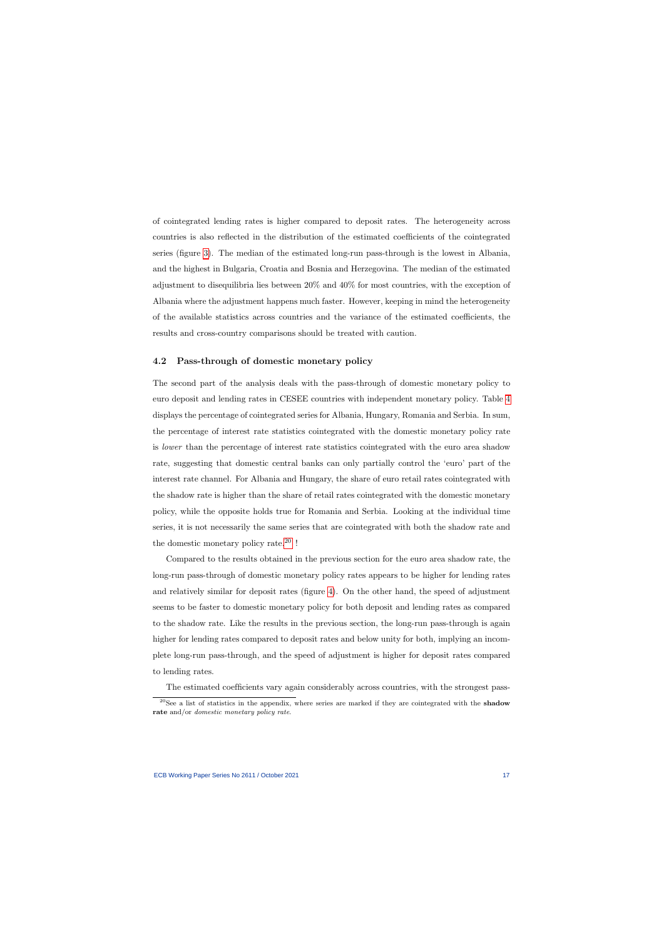of cointegrated lending rates is higher compared to deposit rates. The heterogeneity across countries is also reflected in the distribution of the estimated coefficients of the cointegrated series (figure [3\)](#page-27-0). The median of the estimated long-run pass-through is the lowest in Albania, and the highest in Bulgaria, Croatia and Bosnia and Herzegovina. The median of the estimated adjustment to disequilibria lies between 20% and 40% for most countries, with the exception of Albania where the adjustment happens much faster. However, keeping in mind the heterogeneity of the available statistics across countries and the variance of the estimated coefficients, the results and cross-country comparisons should be treated with caution.

### 4.2 Pass-through of domestic monetary policy

The second part of the analysis deals with the pass-through of domestic monetary policy to euro deposit and lending rates in CESEE countries with independent monetary policy. Table [4](#page-23-1) displays the percentage of cointegrated series for Albania, Hungary, Romania and Serbia. In sum, the percentage of interest rate statistics cointegrated with the domestic monetary policy rate is lower than the percentage of interest rate statistics cointegrated with the euro area shadow rate, suggesting that domestic central banks can only partially control the 'euro' part of the interest rate channel. For Albania and Hungary, the share of euro retail rates cointegrated with the shadow rate is higher than the share of retail rates cointegrated with the domestic monetary policy, while the opposite holds true for Romania and Serbia. Looking at the individual time series, it is not necessarily the same series that are cointegrated with both the shadow rate and the domestic monetary policy rate.[20](#page-17-1) !

<span id="page-17-0"></span>Compared to the results obtained in the previous section for the euro area shadow rate, the long-run pass-through of domestic monetary policy rates appears to be higher for lending rates and relatively similar for deposit rates (figure [4\)](#page-28-0). On the other hand, the speed of adjustment seems to be faster to domestic monetary policy for both deposit and lending rates as compared to the shadow rate. Like the results in the previous section, the long-run pass-through is again higher for lending rates compared to deposit rates and below unity for both, implying an incomplete long-run pass-through, and the speed of adjustment is higher for deposit rates compared to lending rates.

The estimated coefficients vary again considerably across countries, with the strongest pass-

<span id="page-17-1"></span> $^{20}$ See a list of statistics in the appendix, where series are marked if they are cointegrated with the shadow rate and/or *domestic monetary policy rate*.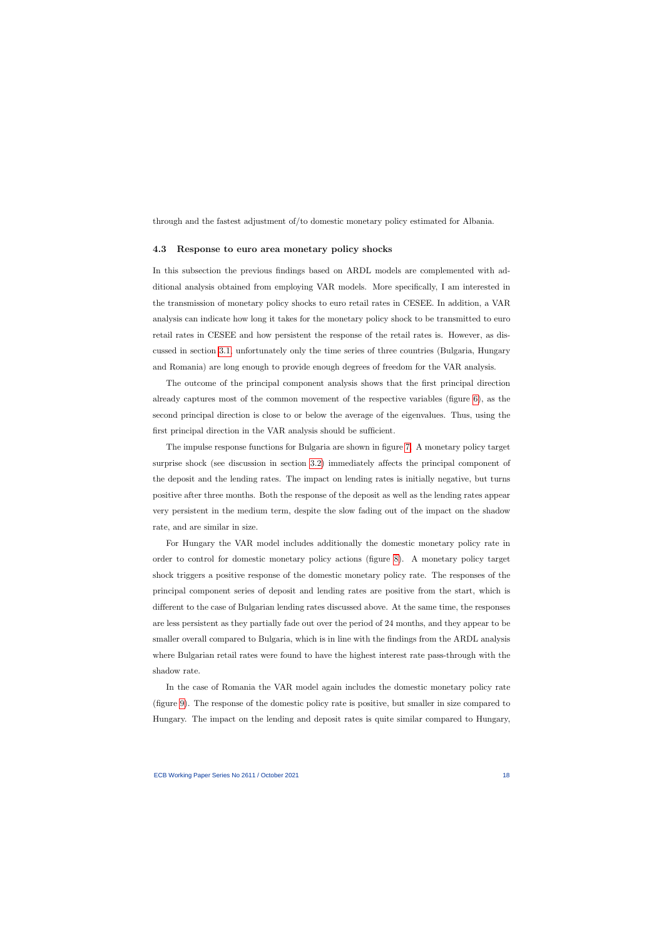through and the fastest adjustment of/to domestic monetary policy estimated for Albania.

### 4.3 Response to euro area monetary policy shocks

In this subsection the previous findings based on ARDL models are complemented with additional analysis obtained from employing VAR models. More specifically, I am interested in the transmission of monetary policy shocks to euro retail rates in CESEE. In addition, a VAR analysis can indicate how long it takes for the monetary policy shock to be transmitted to euro retail rates in CESEE and how persistent the response of the retail rates is. However, as discussed in section [3.1,](#page-9-2) unfortunately only the time series of three countries (Bulgaria, Hungary and Romania) are long enough to provide enough degrees of freedom for the VAR analysis.

The outcome of the principal component analysis shows that the first principal direction already captures most of the common movement of the respective variables (figure [6\)](#page-30-0), as the second principal direction is close to or below the average of the eigenvalues. Thus, using the first principal direction in the VAR analysis should be sufficient.

The impulse response functions for Bulgaria are shown in figure [7.](#page-31-0) A monetary policy target surprise shock (see discussion in section [3.2\)](#page-13-0) immediately affects the principal component of the deposit and the lending rates. The impact on lending rates is initially negative, but turns positive after three months. Both the response of the deposit as well as the lending rates appear very persistent in the medium term, despite the slow fading out of the impact on the shadow rate, and are similar in size.

For Hungary the VAR model includes additionally the domestic monetary policy rate in order to control for domestic monetary policy actions (figure [8\)](#page-32-0). A monetary policy target shock triggers a positive response of the domestic monetary policy rate. The responses of the principal component series of deposit and lending rates are positive from the start, which is different to the case of Bulgarian lending rates discussed above. At the same time, the responses are less persistent as they partially fade out over the period of 24 months, and they appear to be smaller overall compared to Bulgaria, which is in line with the findings from the ARDL analysis where Bulgarian retail rates were found to have the highest interest rate pass-through with the shadow rate.

In the case of Romania the VAR model again includes the domestic monetary policy rate (figure [9\)](#page-33-0). The response of the domestic policy rate is positive, but smaller in size compared to Hungary. The impact on the lending and deposit rates is quite similar compared to Hungary,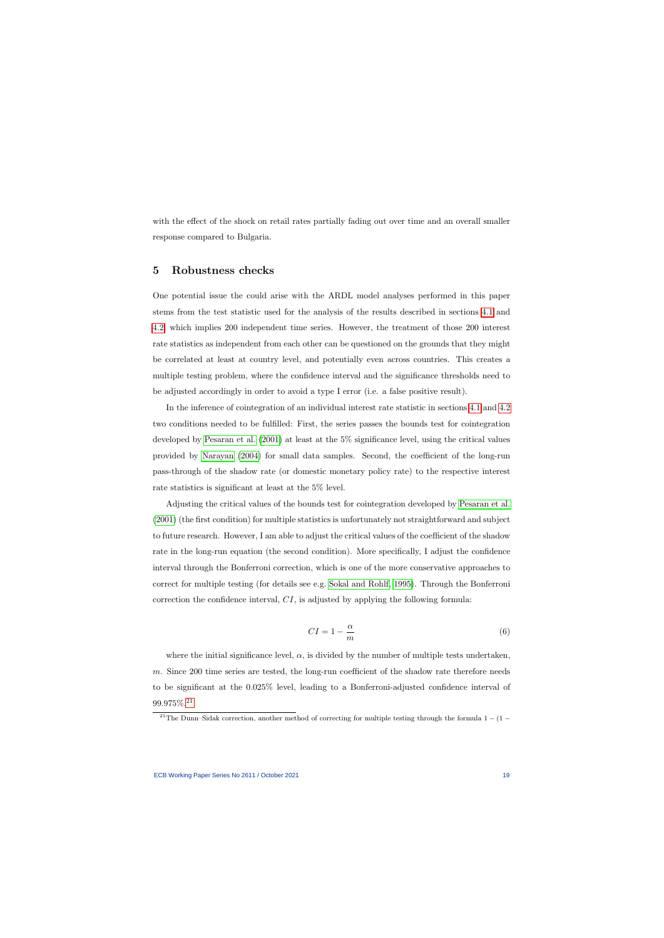with the effect of the shock on retail rates partially fading out over time and an overall smaller response compared to Bulgaria.

# 5 Robustness checks

One potential issue the could arise with the ARDL model analyses performed in this paper stems from the test statistic used for the analysis of the results described in sections [4.1](#page-16-1) and [4.2,](#page-17-0) which implies 200 independent time series. However, the treatment of those 200 interest rate statistics as independent from each other can be questioned on the grounds that they might be correlated at least at country level, and potentially even across countries. This creates a multiple testing problem, where the confidence interval and the significance thresholds need to be adjusted accordingly in order to avoid a type I error (i.e. a false positive result).

<span id="page-19-0"></span>In the inference of cointegration of an individual interest rate statistic in sections [4.1](#page-16-1) and [4.2](#page-17-0) two conditions needed to be fulfilled: First, the series passes the bounds test for cointegration developed by [Pesaran et al.](#page-36-1) [\(2001\)](#page-36-1) at least at the 5% significance level, using the critical values provided by [Narayan](#page-36-10) [\(2004\)](#page-36-10) for small data samples. Second, the coefficient of the long-run pass-through of the shadow rate (or domestic monetary policy rate) to the respective interest rate statistics is significant at least at the 5% level.

Adjusting the critical values of the bounds test for cointegration developed by [Pesaran et al.](#page-36-1) [\(2001\)](#page-36-1) (the first condition) for multiple statistics is unfortunately not straightforward and subject to future research. However, I am able to adjust the critical values of the coefficient of the shadow rate in the long-run equation (the second condition). More specifically, I adjust the confidence interval through the Bonferroni correction, which is one of the more conservative approaches to correct for multiple testing (for details see e.g. [Sokal and Rohlf, 1995\)](#page-37-7). Through the Bonferroni correction the confidence interval, CI, is adjusted by applying the following formula:

$$
CI = 1 - \frac{\alpha}{m} \tag{6}
$$

where the initial significance level,  $\alpha$ , is divided by the number of multiple tests undertaken, m. Since 200 time series are tested, the long-run coefficient of the shadow rate therefore needs to be significant at the 0.025% level, leading to a Bonferroni-adjusted confidence interval of 99.975%.[21](#page-19-1) .

<span id="page-19-1"></span><sup>&</sup>lt;sup>21</sup>The Dunn–Sidak correction, another method of correcting for multiple testing through the formula  $1 - (1 -$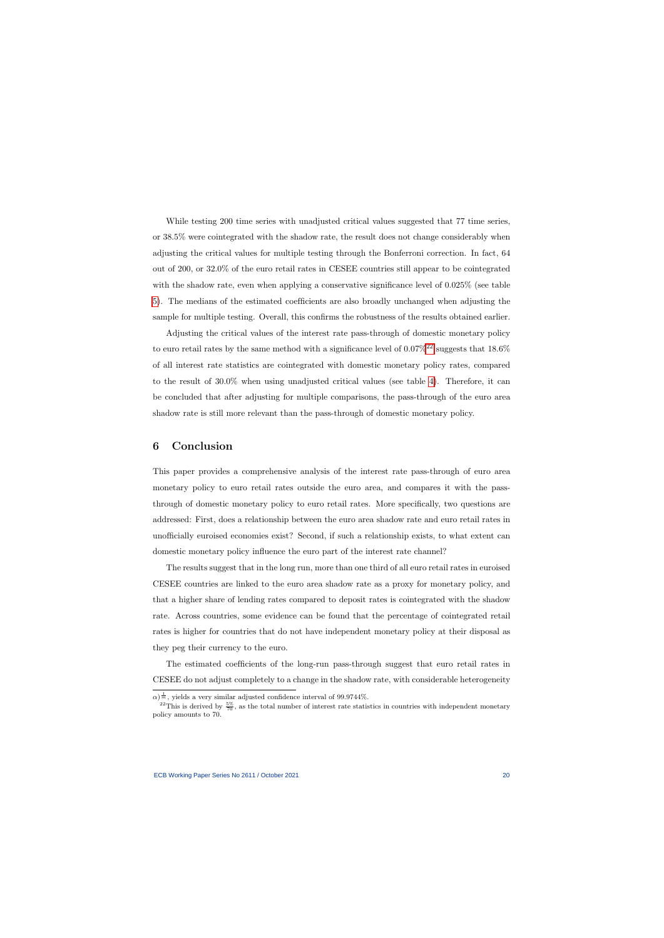While testing 200 time series with unadjusted critical values suggested that 77 time series, or 38.5% were cointegrated with the shadow rate, the result does not change considerably when adjusting the critical values for multiple testing through the Bonferroni correction. In fact, 64 out of 200, or 32.0% of the euro retail rates in CESEE countries still appear to be cointegrated with the shadow rate, even when applying a conservative significance level of 0.025% (see table [5\)](#page-24-0). The medians of the estimated coefficients are also broadly unchanged when adjusting the sample for multiple testing. Overall, this confirms the robustness of the results obtained earlier.

Adjusting the critical values of the interest rate pass-through of domestic monetary policy to euro retail rates by the same method with a significance level of  $0.07\%^{22}$  $0.07\%^{22}$  $0.07\%^{22}$  suggests that  $18.6\%$ of all interest rate statistics are cointegrated with domestic monetary policy rates, compared to the result of 30.0% when using unadjusted critical values (see table [4\)](#page-23-1). Therefore, it can be concluded that after adjusting for multiple comparisons, the pass-through of the euro area shadow rate is still more relevant than the pass-through of domestic monetary policy.

# 6 Conclusion

This paper provides a comprehensive analysis of the interest rate pass-through of euro area monetary policy to euro retail rates outside the euro area, and compares it with the passthrough of domestic monetary policy to euro retail rates. More specifically, two questions are addressed: First, does a relationship between the euro area shadow rate and euro retail rates in unofficially euroised economies exist? Second, if such a relationship exists, to what extent can domestic monetary policy influence the euro part of the interest rate channel?

<span id="page-20-0"></span>The results suggest that in the long run, more than one third of all euro retail rates in euroised CESEE countries are linked to the euro area shadow rate as a proxy for monetary policy, and that a higher share of lending rates compared to deposit rates is cointegrated with the shadow rate. Across countries, some evidence can be found that the percentage of cointegrated retail rates is higher for countries that do not have independent monetary policy at their disposal as they peg their currency to the euro.

The estimated coefficients of the long-run pass-through suggest that euro retail rates in CESEE do not adjust completely to a change in the shadow rate, with considerable heterogeneity

 $\alpha$ )<sup> $\frac{1}{m}$ </sup>, yields a very similar adjusted confidence interval of 99.9744%.

<span id="page-20-1"></span><sup>&</sup>lt;sup>22</sup>This is derived by  $\frac{5\%}{70}$ , as the total number of interest rate statistics in countries with independent monetary policy amounts to 70.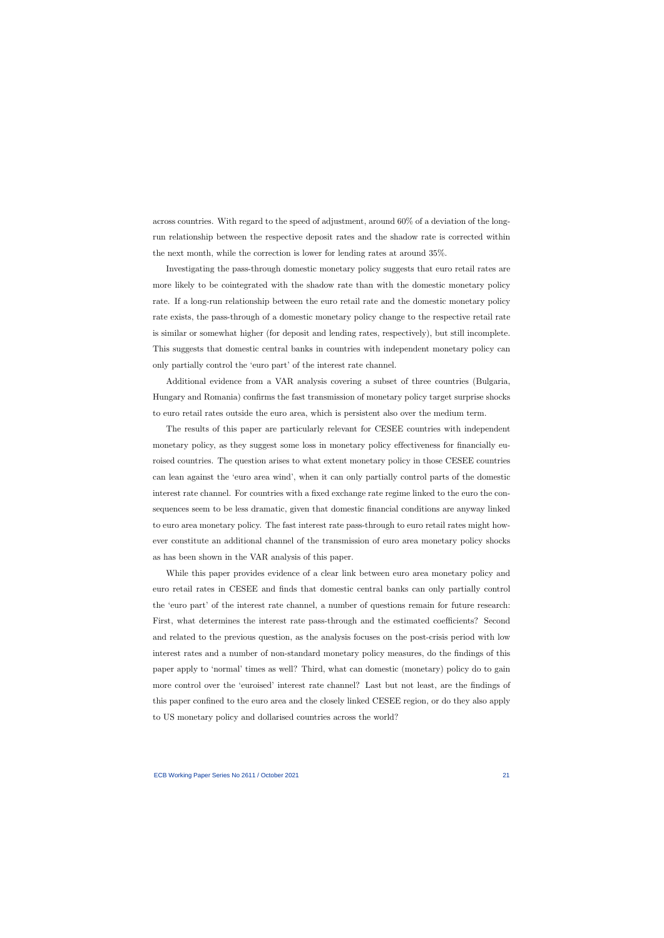across countries. With regard to the speed of adjustment, around 60% of a deviation of the longrun relationship between the respective deposit rates and the shadow rate is corrected within the next month, while the correction is lower for lending rates at around 35%.

Investigating the pass-through domestic monetary policy suggests that euro retail rates are more likely to be cointegrated with the shadow rate than with the domestic monetary policy rate. If a long-run relationship between the euro retail rate and the domestic monetary policy rate exists, the pass-through of a domestic monetary policy change to the respective retail rate is similar or somewhat higher (for deposit and lending rates, respectively), but still incomplete. This suggests that domestic central banks in countries with independent monetary policy can only partially control the 'euro part' of the interest rate channel.

Additional evidence from a VAR analysis covering a subset of three countries (Bulgaria, Hungary and Romania) confirms the fast transmission of monetary policy target surprise shocks to euro retail rates outside the euro area, which is persistent also over the medium term.

The results of this paper are particularly relevant for CESEE countries with independent monetary policy, as they suggest some loss in monetary policy effectiveness for financially euroised countries. The question arises to what extent monetary policy in those CESEE countries can lean against the 'euro area wind', when it can only partially control parts of the domestic interest rate channel. For countries with a fixed exchange rate regime linked to the euro the consequences seem to be less dramatic, given that domestic financial conditions are anyway linked to euro area monetary policy. The fast interest rate pass-through to euro retail rates might however constitute an additional channel of the transmission of euro area monetary policy shocks as has been shown in the VAR analysis of this paper.

While this paper provides evidence of a clear link between euro area monetary policy and euro retail rates in CESEE and finds that domestic central banks can only partially control the 'euro part' of the interest rate channel, a number of questions remain for future research: First, what determines the interest rate pass-through and the estimated coefficients? Second and related to the previous question, as the analysis focuses on the post-crisis period with low interest rates and a number of non-standard monetary policy measures, do the findings of this paper apply to 'normal' times as well? Third, what can domestic (monetary) policy do to gain more control over the 'euroised' interest rate channel? Last but not least, are the findings of this paper confined to the euro area and the closely linked CESEE region, or do they also apply to US monetary policy and dollarised countries across the world?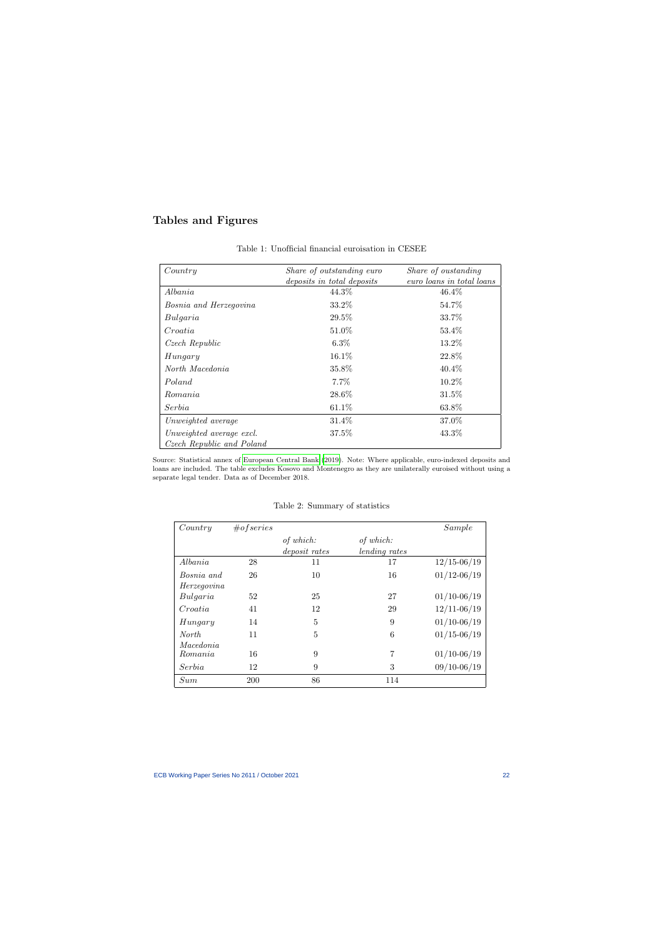# Tables and Figures

| Country                       | Share of outstanding euro           | Share of oustanding<br>euro loans in total loans |
|-------------------------------|-------------------------------------|--------------------------------------------------|
| Albania                       | deposits in total deposits<br>44.3% | 46.4%                                            |
|                               |                                     |                                                  |
| <i>Bosnia and Herzegovina</i> | 33.2%                               | 54.7%                                            |
| Bulgaria                      | 29.5%                               | 33.7%                                            |
| Croatia                       | 51.0%                               | 53.4\%                                           |
| Czech Republic                | $6.3\%$                             | 13.2%                                            |
| Hungary                       | $16.1\%$                            | 22.8%                                            |
| North Macedonia               | 35.8%                               | $40.4\%$                                         |
| Poland                        | 7.7%                                | 10.2%                                            |
| Romania                       | 28.6%                               | 31.5%                                            |
| Serbia                        | $61.1\%$                            | 63.8%                                            |
| Unweighted average            | 31.4%                               | 37.0%                                            |
| Unweighted average excl.      | 37.5%                               | 43.3%                                            |
| Czech Republic and Poland     |                                     |                                                  |

Table 1: Unofficial financial euroisation in CESEE

<span id="page-22-0"></span>Source: Statistical annex of [European Central Bank](#page-35-11) [\(2019\)](#page-35-11). Note: Where applicable, euro-indexed deposits and loans are included. The table excludes Kosovo and Montenegro as they are unilaterally euroised without using a separate legal tender. Data as of December 2018.

<span id="page-22-1"></span>

| Country      | #of series |                   |               | Sample          |
|--------------|------------|-------------------|---------------|-----------------|
|              |            | of which:         | of which:     |                 |
|              |            | $deposit$ $rates$ | lending rates |                 |
| Albania      | 28         | 11                | 17            | $12/15 - 06/19$ |
| Bosnia and   | 26         | 10                | 16            | $01/12 - 06/19$ |
| Herzegovina  |            |                   |               |                 |
| Bulgaria     | 52         | 25                | 27            | $01/10 - 06/19$ |
| Croatia      | 41         | 12                | 29            | $12/11 - 06/19$ |
| Hungary      | 14         | 5                 | 9             | $01/10 - 06/19$ |
| <i>North</i> | 11         | 5                 | 6             | $01/15 - 06/19$ |
| Macedonia    |            |                   |               |                 |
| Romania      | 16         | 9                 | 7             | $01/10 - 06/19$ |
| Serbia       | 12         | 9                 | 3             | $09/10 - 06/19$ |
| Sum          | 200        | 86                | 114           |                 |

Table 2: Summary of statistics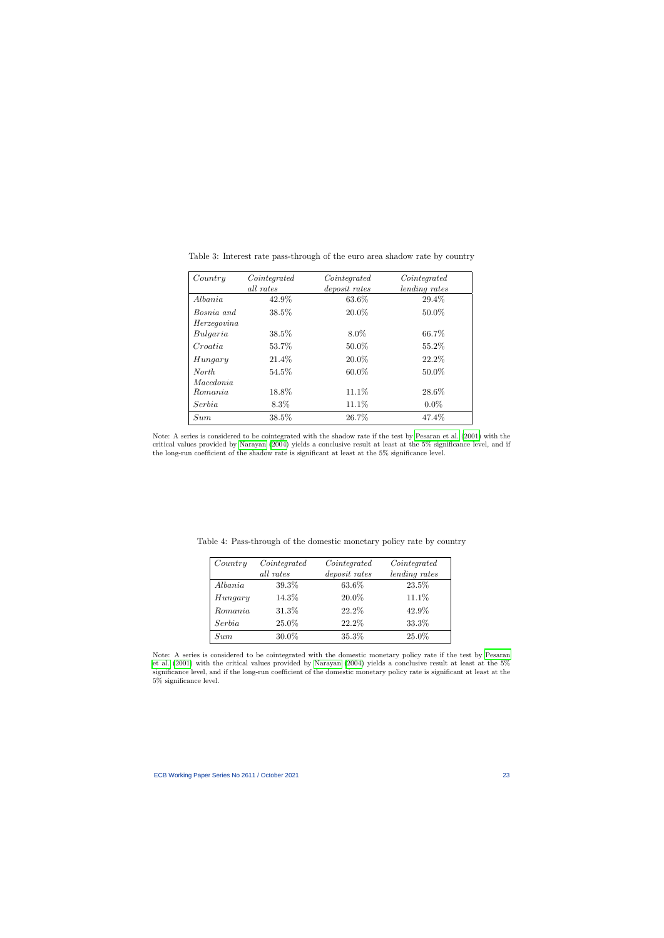| Country      | Cointegrated<br>all rates | Cointegrated<br>deposit rates | Cointegrated<br>lending rates |
|--------------|---------------------------|-------------------------------|-------------------------------|
| Albania      | 42.9%                     | 63.6%                         | 29.4%                         |
| Bosnia and   | 38.5%                     | 20.0%                         | $50.0\%$                      |
| Herzegovina  |                           |                               |                               |
| Bulgaria     | 38.5%                     | $8.0\%$                       | 66.7%                         |
| Croatia      | 53.7%                     | 50.0%                         | 55.2%                         |
| Hungary      | 21.4%                     | 20.0%                         | 22.2%                         |
| <i>North</i> | 54.5\%                    | $60.0\%$                      | 50.0%                         |
| Macedonia    |                           |                               |                               |
| Romania      | 18.8%                     | 11.1\%                        | 28.6%                         |
| Serbia       | 8.3%                      | 11.1%                         | $0.0\%$                       |
| Sum          | 38.5%                     | 26.7%                         | 47.4%                         |

Table 3: Interest rate pass-through of the euro area shadow rate by country

<span id="page-23-0"></span>Note: A series is considered to be cointegrated with the shadow rate if the test by [Pesaran et al.](#page-36-1) [\(2001\)](#page-36-1) with the critical values provided by [Narayan](#page-36-10) [\(2004\)](#page-36-10) yields a conclusive result at least at the 5% significance level, and if the long-run coefficient of the shadow rate is significant at least at the 5% significance level.

| Country | Cointegrated | Cointegrated  | Cointegrated  |
|---------|--------------|---------------|---------------|
|         | all rates    | deposit rates | lending rates |
| Albania | 39.3%        | 63.6%         | 23.5%         |
| Hungary | 14.3%        | 20.0%         | 11.1%         |
| Romania | 31.3%        | 22.2%         | 42.9%         |
| Serbia  | 25.0%        | 22.2%         | 33.3%         |
| Sum     | 30.0%        | 35.3%         | 25.0%         |

Table 4: Pass-through of the domestic monetary policy rate by country

<span id="page-23-1"></span>Note: A series is considered to be cointegrated with the domestic monetary policy rate if the test by [Pesaran](#page-36-1) [et al.](#page-36-1) [\(2001\)](#page-36-1) with the critical values provided by [Narayan](#page-36-10) [\(2004\)](#page-36-10) yields a conclusive result at least at the 5% significance level, and if the long-run coefficient of the domestic monetary policy rate is significant at least at the 5% significance level.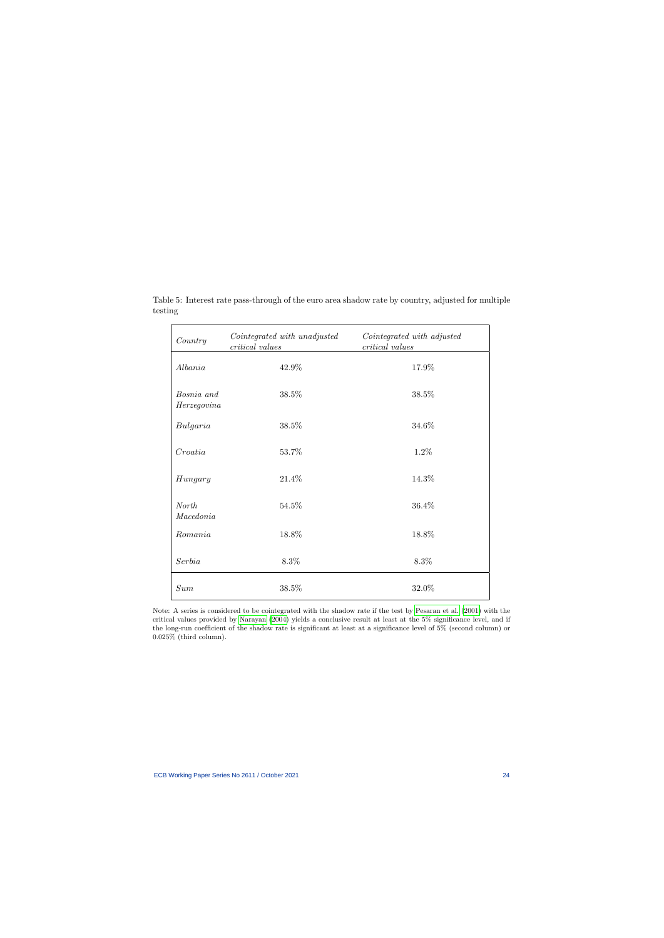<span id="page-24-0"></span>

| Country                   | Cointegrated with unadjusted<br>critical values | Cointegrated with adjusted<br>critical values |
|---------------------------|-------------------------------------------------|-----------------------------------------------|
| Albania                   | 42.9%                                           | 17.9%                                         |
| Bosnia and<br>Herzegovina | 38.5%                                           | 38.5%                                         |
| Bulgaria                  | 38.5%                                           | 34.6%                                         |
| Croatia                   | 53.7%                                           | 1.2%                                          |
| Hungary                   | 21.4%                                           | 14.3%                                         |
| <b>North</b><br>Macedonia | 54.5%                                           | 36.4%                                         |
| Romania                   | 18.8%                                           | 18.8%                                         |
| Serbia                    | 8.3%                                            | 8.3%                                          |
| Sum                       | 38.5%                                           | 32.0%                                         |

Table 5: Interest rate pass-through of the euro area shadow rate by country, adjusted for multiple testing

Note: A series is considered to be cointegrated with the shadow rate if the test by [Pesaran et al.](#page-36-1) [\(2001\)](#page-36-1) with the critical values provided by [Narayan](#page-36-10) [\(2004\)](#page-36-10) yields a conclusive result at least at the 5% significance level, and if the long-run coefficient of the shadow rate is significant at least at a significance level of 5% (second column) or 0.025% (third column).

 $\overline{a}$ 

 $\overline{\phantom{0}}$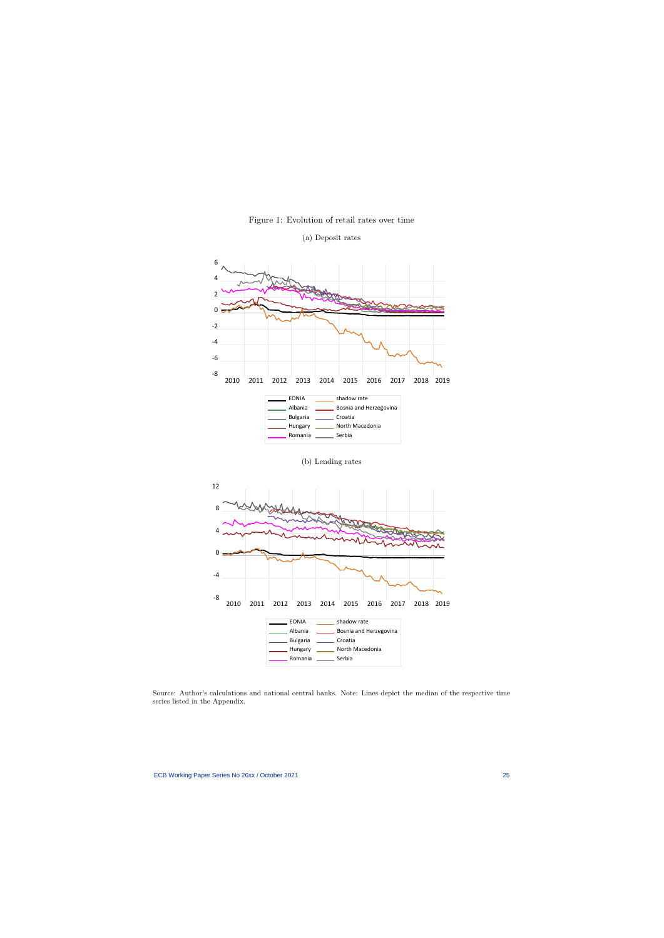<span id="page-25-0"></span>

Figure 1: Evolution of retail rates over time

Source: Author's calculations and national central banks. Note: Lines depict the median of the respective time series listed in the Appendix.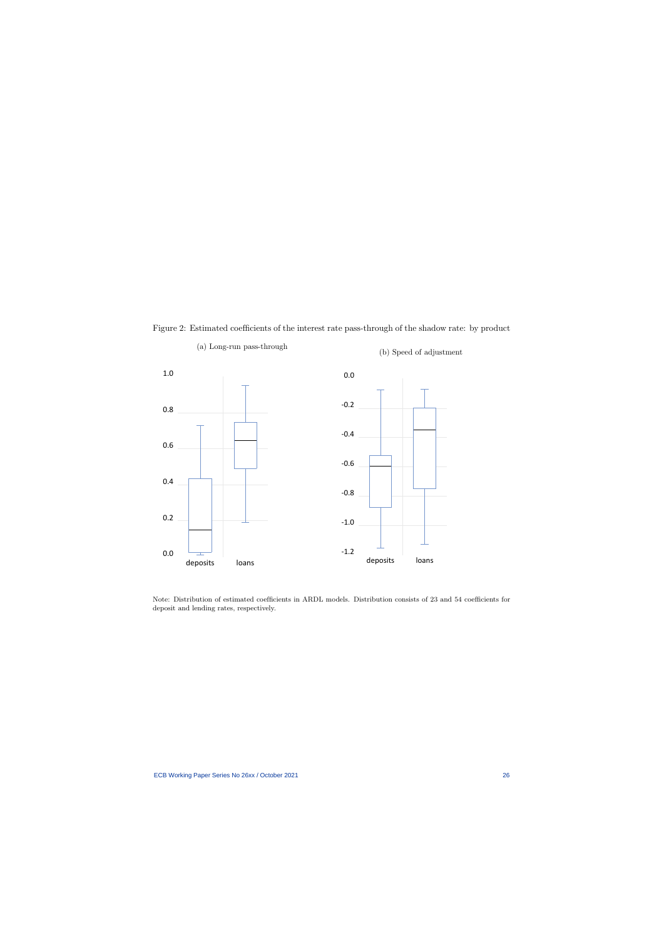

(a) Long-run pass-through

Figure 2: Estimated coefficients of the interest rate pass-through of the shadow rate: by product

<span id="page-26-0"></span>Note: Distribution of estimated coefficients in ARDL models. Distribution consists of 23 and 54 coefficients for deposit and lending rates, respectively.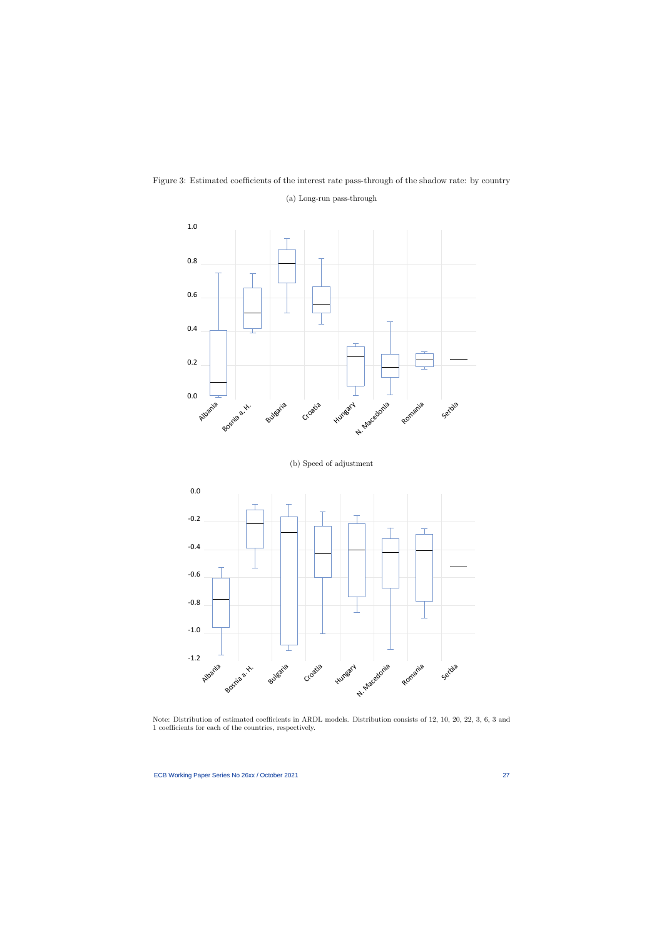

<span id="page-27-0"></span>

Note: Distribution of estimated coefficients in ARDL models. Distribution consists of 12, 10, 20, 22, 3, 6, 3 and 1 coefficients for each of the countries, respectively.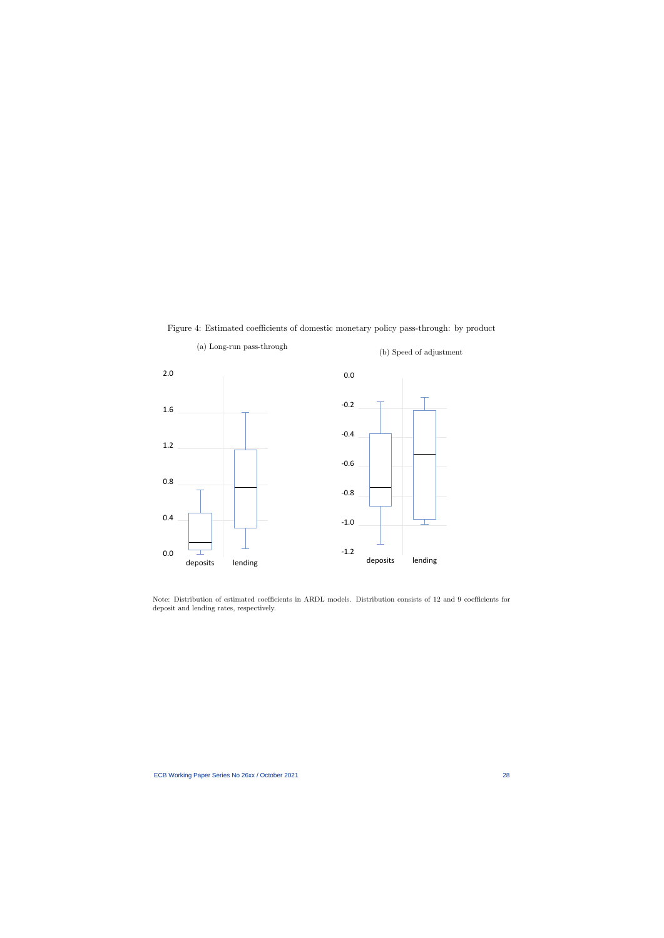

(a) Long-run pass-through

Figure 4: Estimated coefficients of domestic monetary policy pass-through: by product

<span id="page-28-0"></span>Note: Distribution of estimated coefficients in ARDL models. Distribution consists of 12 and 9 coefficients for deposit and lending rates, respectively.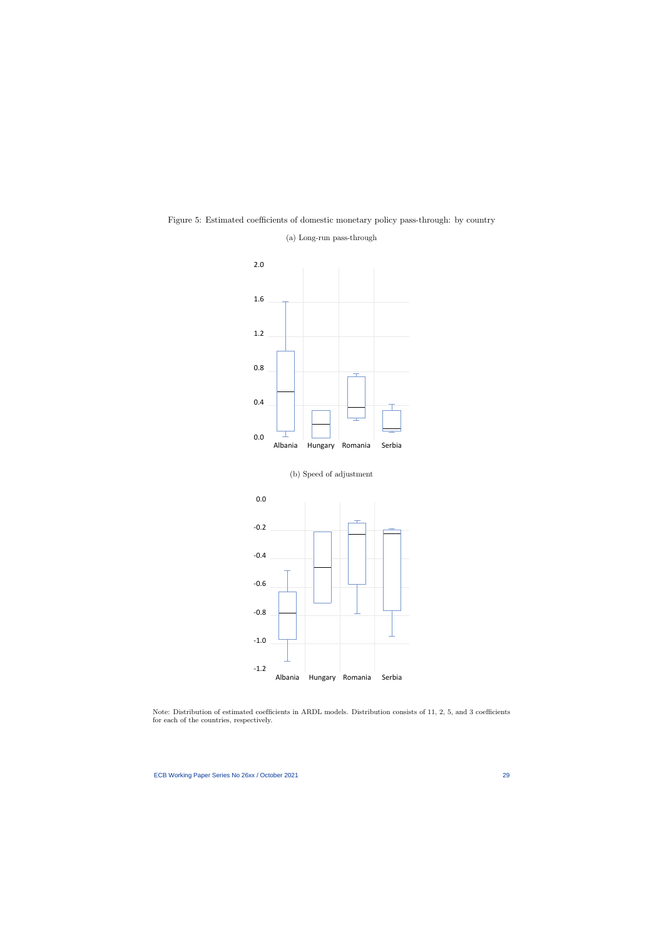

Figure 5: Estimated coefficients of domestic monetary policy pass-through: by country

(a) Long-run pass-through

Note: Distribution of estimated coefficients in ARDL models. Distribution consists of 11, 2, 5, and 3 coefficients for each of the countries, respectively.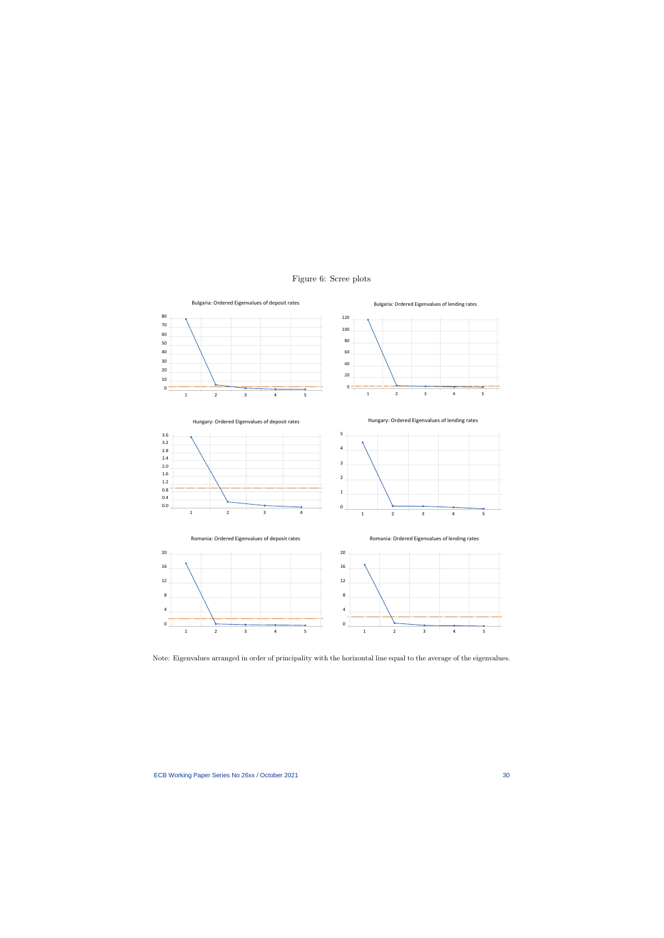<span id="page-30-0"></span>

### Figure 6: Scree plots

Note: Eigenvalues arranged in order of principality with the horizontal line equal to the average of the eigenvalues.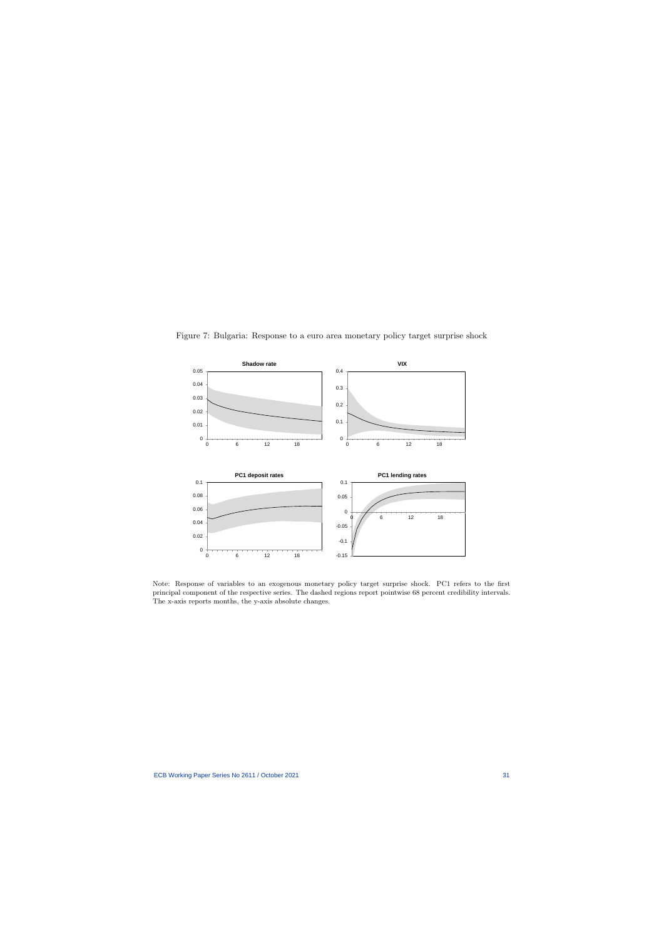

Figure 7: Bulgaria: Response to a euro area monetary policy target surprise shock

<span id="page-31-0"></span>Note: Response of variables to an exogenous monetary policy target surprise shock. PC1 refers to the first principal component of the respective series. The dashed regions report pointwise 68 percent credibility intervals. The x-axis reports months, the y-axis absolute changes.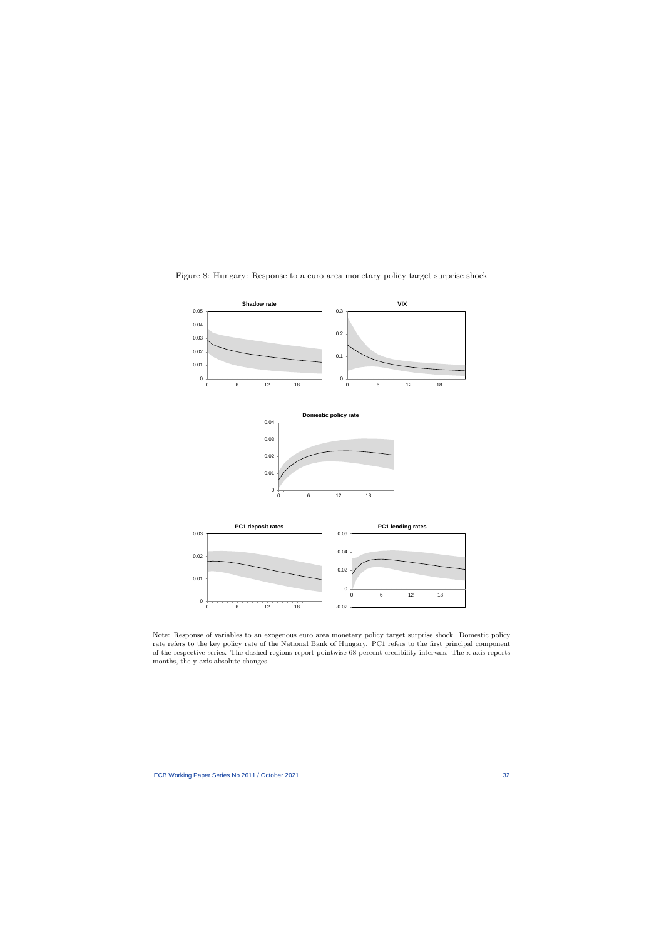<span id="page-32-0"></span>

Figure 8: Hungary: Response to a euro area monetary policy target surprise shock

Note: Response of variables to an exogenous euro area monetary policy target surprise shock. Domestic policy rate refers to the key policy rate of the National Bank of Hungary. PC1 refers to the first principal component of the respective series. The dashed regions report pointwise 68 percent credibility intervals. The x-axis reports months, the y-axis absolute changes.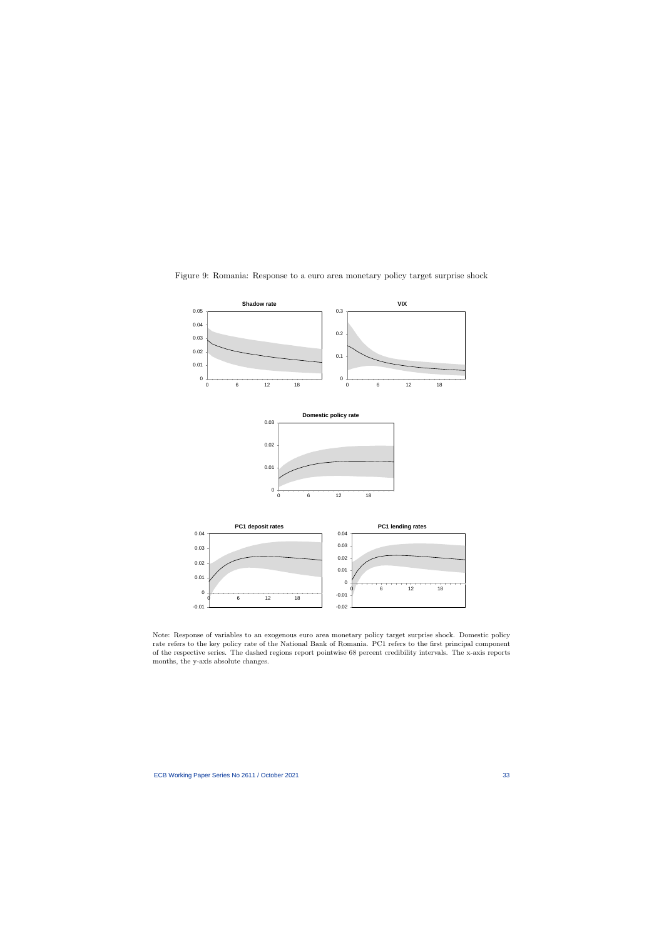<span id="page-33-0"></span>

Figure 9: Romania: Response to a euro area monetary policy target surprise shock

Note: Response of variables to an exogenous euro area monetary policy target surprise shock. Domestic policy rate refers to the key policy rate of the National Bank of Romania. PC1 refers to the first principal component of the respective series. The dashed regions report pointwise 68 percent credibility intervals. The x-axis reports months, the y-axis absolute changes.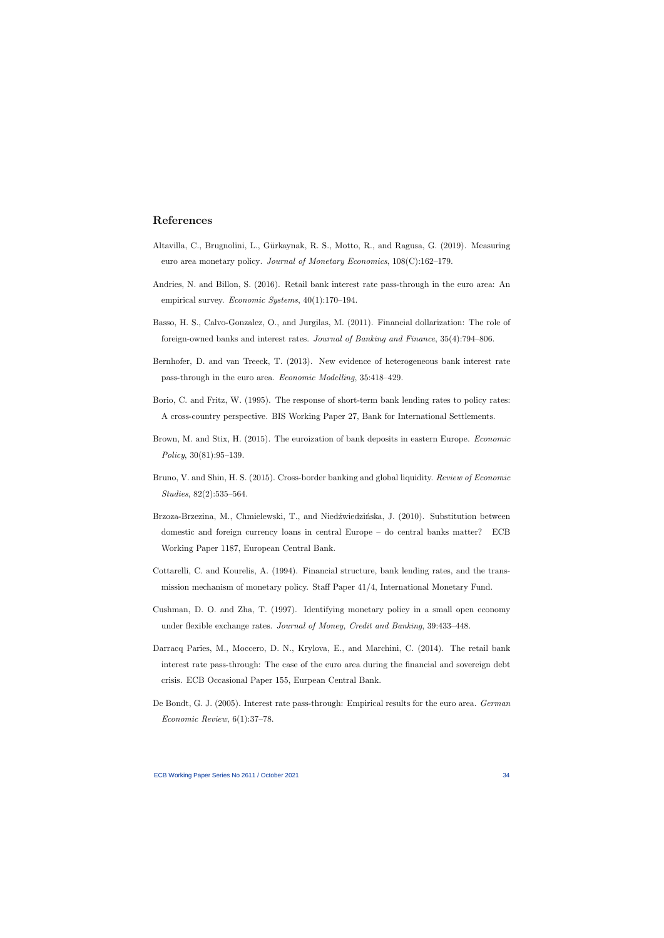# References

- Altavilla, C., Brugnolini, L., G¨urkaynak, R. S., Motto, R., and Ragusa, G. (2019). Measuring euro area monetary policy. Journal of Monetary Economics, 108(C):162–179.
- Andries, N. and Billon, S. (2016). Retail bank interest rate pass-through in the euro area: An empirical survey. Economic Systems, 40(1):170–194.
- Basso, H. S., Calvo-Gonzalez, O., and Jurgilas, M. (2011). Financial dollarization: The role of foreign-owned banks and interest rates. Journal of Banking and Finance, 35(4):794–806.
- <span id="page-34-9"></span>Bernhofer, D. and van Treeck, T. (2013). New evidence of heterogeneous bank interest rate pass-through in the euro area. Economic Modelling, 35:418–429.
- <span id="page-34-3"></span>Borio, C. and Fritz, W. (1995). The response of short-term bank lending rates to policy rates: A cross-country perspective. BIS Working Paper 27, Bank for International Settlements.
- <span id="page-34-7"></span>Brown, M. and Stix, H. (2015). The euroization of bank deposits in eastern Europe. Economic Policy, 30(81):95–139.
- <span id="page-34-11"></span>Bruno, V. and Shin, H. S. (2015). Cross-border banking and global liquidity. Review of Economic Studies, 82(2):535–564.
- <span id="page-34-1"></span>Brzoza-Brzezina, M., Chmielewski, T., and Niedźwiedzińska, J. (2010). Substitution between domestic and foreign currency loans in central Europe – do central banks matter? ECB Working Paper 1187, European Central Bank.
- <span id="page-34-8"></span>Cottarelli, C. and Kourelis, A. (1994). Financial structure, bank lending rates, and the transmission mechanism of monetary policy. Staff Paper 41/4, International Monetary Fund.
- <span id="page-34-5"></span>Cushman, D. O. and Zha, T. (1997). Identifying monetary policy in a small open economy under flexible exchange rates. Journal of Money, Credit and Banking, 39:433–448.
- <span id="page-34-6"></span>Darracq Paries, M., Moccero, D. N., Krylova, E., and Marchini, C. (2014). The retail bank interest rate pass-through: The case of the euro area during the financial and sovereign debt crisis. ECB Occasional Paper 155, Eurpean Central Bank.
- <span id="page-34-10"></span><span id="page-34-4"></span><span id="page-34-2"></span><span id="page-34-0"></span>De Bondt, G. J. (2005). Interest rate pass-through: Empirical results for the euro area. German Economic Review, 6(1):37–78.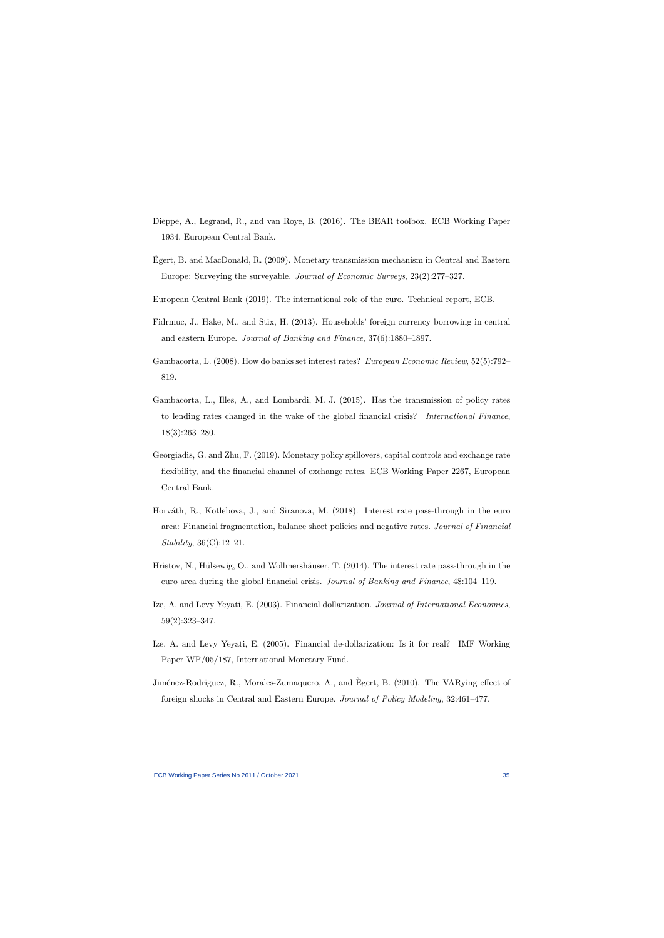- Dieppe, A., Legrand, R., and van Roye, B. (2016). The BEAR toolbox. ECB Working Paper 1934, European Central Bank.
- Egert, B. and MacDonald, R. (2009). Monetary transmission mechanism in Central and Eastern ´ Europe: Surveying the surveyable. Journal of Economic Surveys, 23(2):277–327.
- European Central Bank (2019). The international role of the euro. Technical report, ECB.
- Fidrmuc, J., Hake, M., and Stix, H. (2013). Households' foreign currency borrowing in central and eastern Europe. Journal of Banking and Finance, 37(6):1880–1897.
- <span id="page-35-9"></span>Gambacorta, L. (2008). How do banks set interest rates? European Economic Review, 52(5):792– 819.
- <span id="page-35-3"></span>Gambacorta, L., Illes, A., and Lombardi, M. J. (2015). Has the transmission of policy rates to lending rates changed in the wake of the global financial crisis? International Finance, 18(3):263–280.
- <span id="page-35-11"></span><span id="page-35-7"></span>Georgiadis, G. and Zhu, F. (2019). Monetary policy spillovers, capital controls and exchange rate flexibility, and the financial channel of exchange rates. ECB Working Paper 2267, European Central Bank.
- <span id="page-35-10"></span><span id="page-35-0"></span>Horváth, R., Kotlebova, J., and Siranova, M. (2018). Interest rate pass-through in the euro area: Financial fragmentation, balance sheet policies and negative rates. Journal of Financial Stability, 36(C):12–21.
- <span id="page-35-4"></span>Hristov, N., Hülsewig, O., and Wollmershäuser, T.  $(2014)$ . The interest rate pass-through in the euro area during the global financial crisis. Journal of Banking and Finance, 48:104–119.
- Ize, A. and Levy Yeyati, E. (2003). Financial dollarization. Journal of International Economics, 59(2):323–347.
- <span id="page-35-2"></span>Ize, A. and Levy Yeyati, E. (2005). Financial de-dollarization: Is it for real? IMF Working Paper WP/05/187, International Monetary Fund.
- <span id="page-35-8"></span><span id="page-35-6"></span><span id="page-35-5"></span><span id="page-35-1"></span>Jiménez-Rodriguez, R., Morales-Zumaquero, A., and Egert, B. (2010). The VARying effect of foreign shocks in Central and Eastern Europe. Journal of Policy Modeling, 32:461–477.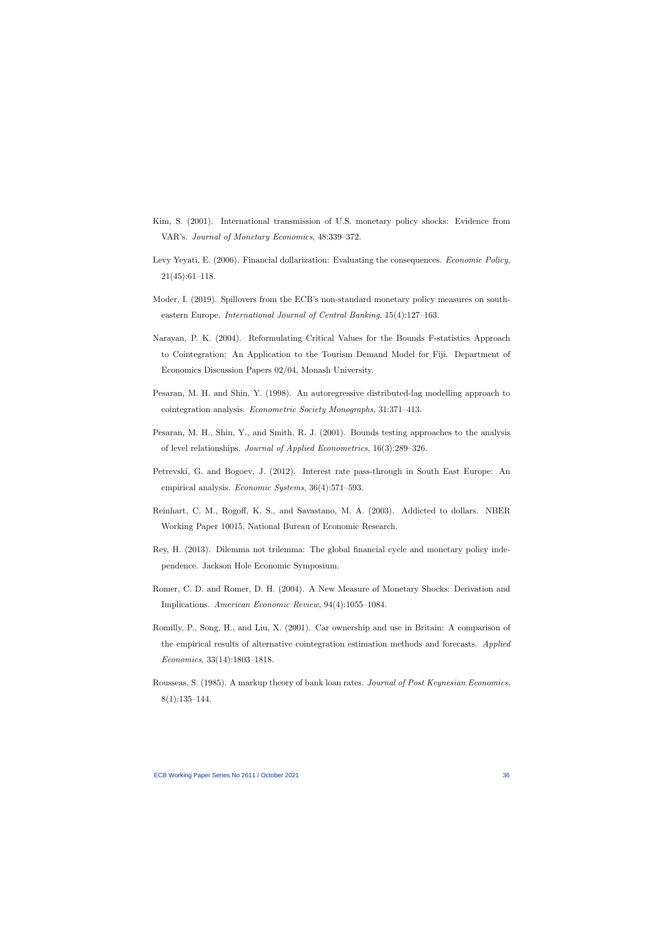- Kim, S. (2001). International transmission of U.S. monetary policy shocks: Evidence from VAR's. Journal of Monetary Economics, 48:339–372.
- Levy Yeyati, E. (2006). Financial dollarization: Evaluating the consequences. Economic Policy, 21(45):61–118.
- Moder, I. (2019). Spillovers from the ECB's non-standard monetary policy measures on southeastern Europe. International Journal of Central Banking, 15(4):127–163.
- <span id="page-36-6"></span>Narayan, P. K. (2004). Reformulating Critical Values for the Bounds F-statistics Approach to Cointegration: An Application to the Tourism Demand Model for Fiji. Department of Economics Discussion Papers 02/04, Monash University.
- <span id="page-36-4"></span>Pesaran, M. H. and Shin, Y. (1998). An autoregressive distributed-lag modelling approach to cointegration analysis. Econometric Society Monographs, 31:371–413.
- <span id="page-36-7"></span>Pesaran, M. H., Shin, Y., and Smith, R. J. (2001). Bounds testing approaches to the analysis of level relationships. Journal of Applied Econometrics, 16(3):289–326.
- <span id="page-36-10"></span>Petrevski, G. and Bogoev, J. (2012). Interest rate pass-through in South East Europe: An empirical analysis. Economic Systems, 36(4):571–593.
- <span id="page-36-0"></span>Reinhart, C. M., Rogoff, K. S., and Savastano, M. A. (2003). Addicted to dollars. NBER Working Paper 10015, National Bureau of Economic Research.
- <span id="page-36-1"></span>Rey, H. (2013). Dilemma not trilemma: The global financial cycle and monetary policy independence. Jackson Hole Economic Symposium.
- <span id="page-36-3"></span>Romer, C. D. and Romer, D. H. (2004). A New Measure of Monetary Shocks: Derivation and Implications. American Economic Review, 94(4):1055–1084.
- <span id="page-36-5"></span>Romilly, P., Song, H., and Liu, X. (2001). Car ownership and use in Britain: A comparison of the empirical results of alternative cointegration estimation methods and forecasts. Applied Economics, 33(14):1803–1818.
- <span id="page-36-11"></span><span id="page-36-9"></span><span id="page-36-8"></span><span id="page-36-2"></span>Rousseas, S. (1985). A markup theory of bank loan rates. Journal of Post Keynesian Economics,  $8(1):135-144.$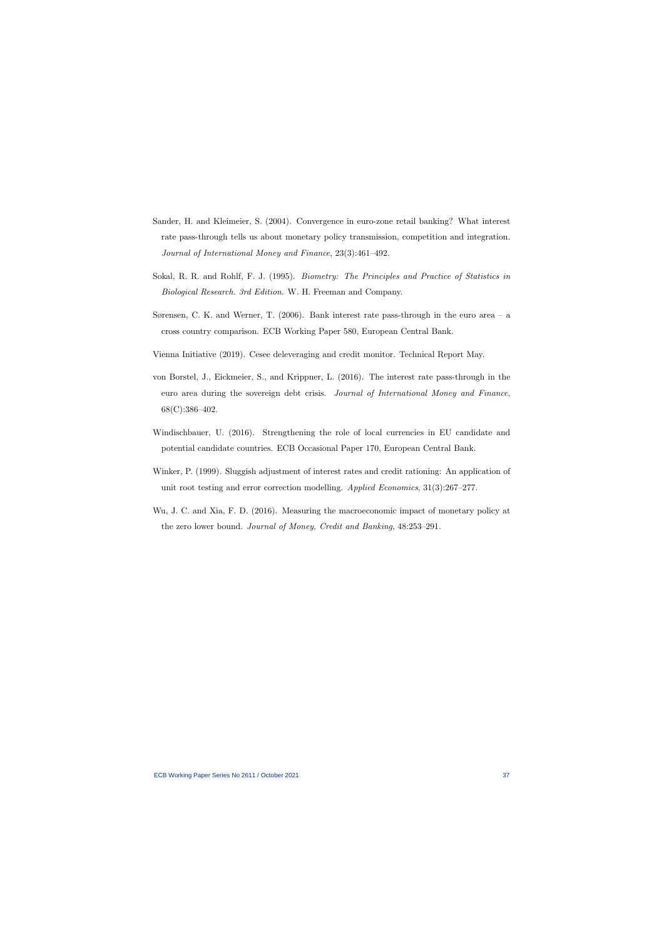- Sander, H. and Kleimeier, S. (2004). Convergence in euro-zone retail banking? What interest rate pass-through tells us about monetary policy transmission, competition and integration. Journal of International Money and Finance, 23(3):461–492.
- Sokal, R. R. and Rohlf, F. J. (1995). Biometry: The Principles and Practice of Statistics in Biological Research. 3rd Edition. W. H. Freeman and Company.
- Sørensen, C. K. and Werner, T. (2006). Bank interest rate pass-through in the euro area a cross country comparison. ECB Working Paper 580, European Central Bank.
- <span id="page-37-0"></span>Vienna Initiative (2019). Cesee deleveraging and credit monitor. Technical Report May.
- <span id="page-37-7"></span>von Borstel, J., Eickmeier, S., and Krippner, L. (2016). The interest rate pass-through in the euro area during the sovereign debt crisis. Journal of International Money and Finance, 68(C):386–402.
- <span id="page-37-2"></span>Windischbauer, U. (2016). Strengthening the role of local currencies in EU candidate and potential candidate countries. ECB Occasional Paper 170, European Central Bank.
- <span id="page-37-5"></span>Winker, P. (1999). Sluggish adjustment of interest rates and credit rationing: An application of unit root testing and error correction modelling. Applied Economics, 31(3):267–277.
- <span id="page-37-6"></span><span id="page-37-4"></span><span id="page-37-3"></span><span id="page-37-1"></span>Wu, J. C. and Xia, F. D. (2016). Measuring the macroeconomic impact of monetary policy at the zero lower bound. Journal of Money, Credit and Banking, 48:253–291.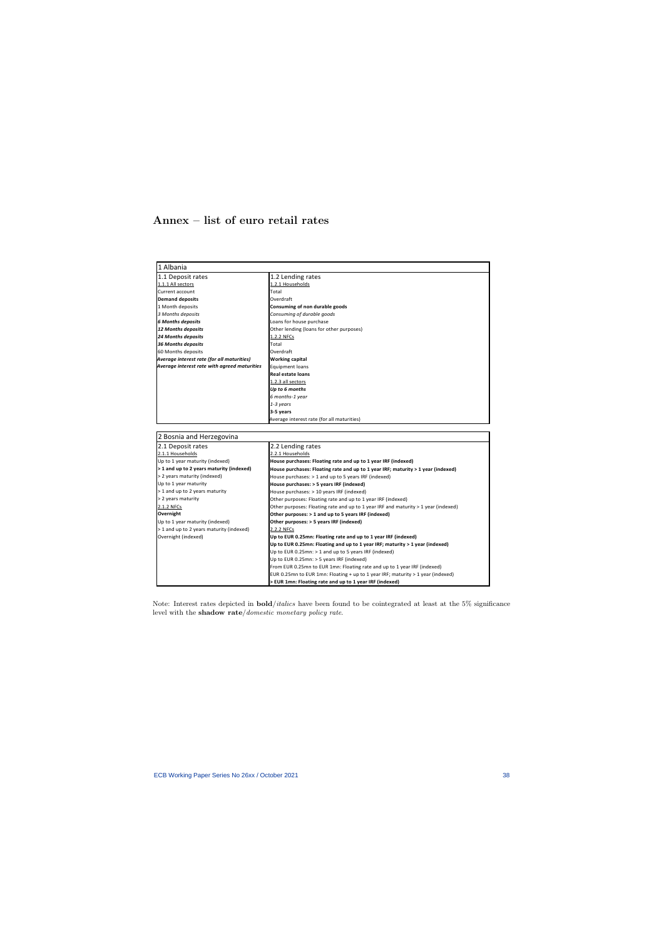# Annex – list of euro retail rates

| 1 Albania                                    |                                                                                    |  |
|----------------------------------------------|------------------------------------------------------------------------------------|--|
| 1.1 Deposit rates                            | 1.2 Lending rates                                                                  |  |
| 1.1.1 All sectors                            | 1.2.1 Households                                                                   |  |
| Current account                              | Total                                                                              |  |
| <b>Demand deposits</b>                       | Overdraft                                                                          |  |
| 1 Month deposits                             | Consuming of non durable goods                                                     |  |
| 3 Months deposits                            | Consuming of durable goods                                                         |  |
| <b>6 Months deposits</b>                     | Loans for house purchase                                                           |  |
| 12 Months deposits                           | Other lending (loans for other purposes)                                           |  |
| <b>24 Months deposits</b>                    | 1.2.2 NFCs                                                                         |  |
| <b>36 Months deposits</b>                    | Total                                                                              |  |
| 60 Months deposits                           | Overdraft                                                                          |  |
| Average interest rate (for all maturities)   | Working capital                                                                    |  |
| Average interest rate with agreed maturities | Equipment loans                                                                    |  |
|                                              | <b>Real estate loans</b>                                                           |  |
|                                              | 1.2.3 all sectors                                                                  |  |
|                                              | Up to 6 months                                                                     |  |
|                                              | 6 months-1 year                                                                    |  |
|                                              | 1-3 years                                                                          |  |
|                                              | 3-5 years                                                                          |  |
|                                              | Average interest rate (for all maturities)                                         |  |
|                                              |                                                                                    |  |
| 2 Bosnia and Herzegovina                     |                                                                                    |  |
| 2.1 Deposit rates                            | 2.2 Lending rates                                                                  |  |
| 2.1.1 Households                             | 2.2.1 Households                                                                   |  |
| Up to 1 year maturity (indexed)              | House purchases: Floating rate and up to 1 year IRF (indexed)                      |  |
| > 1 and up to 2 years maturity (indexed)     | House purchases: Floating rate and up to 1 year IRF; maturity > 1 year (indexed)   |  |
| > 2 years maturity (indexed)                 | House purchases: > 1 and up to 5 years IRF (indexed)                               |  |
| Up to 1 year maturity                        | House purchases: > 5 years IRF (indexed)                                           |  |
| > 1 and up to 2 years maturity               | House purchases: > 10 years IRF (indexed)                                          |  |
| > 2 years maturity                           | Other purposes: Floating rate and up to 1 year IRF (indexed)                       |  |
| 2.1.2 NFCs                                   | Other purposes: Floating rate and up to 1 year IRF and maturity > 1 year (indexed) |  |
| Overnight                                    | Other purposes: > 1 and up to 5 years IRF (indexed)                                |  |
| Up to 1 year maturity (indexed)              | Other purposes: > 5 years IRF (indexed)                                            |  |
| > 1 and up to 2 years maturity (indexed)     | 2.2.2 NFCs                                                                         |  |
| Overnight (indexed)                          | Up to EUR 0.25mn: Floating rate and up to 1 year IRF (indexed)                     |  |
|                                              | Up to EUR 0.25mn: Floating and up to 1 year IRF; maturity > 1 year (indexed)       |  |
|                                              | Up to EUR 0.25mn: > 1 and up to 5 years IRF (indexed)                              |  |
|                                              | Up to EUR 0.25mn: > 5 years IRF (indexed)                                          |  |
|                                              | From EUR 0.25mn to EUR 1mn: Floating rate and up to 1 year IRF (indexed)           |  |
|                                              | EUR 0.25mn to EUR 1mn: Floating + up to 1 year IRF; maturity > 1 year (indexed)    |  |
|                                              | > EUR 1mn: Floating rate and up to 1 year IRF (indexed)                            |  |

Note: Interest rates depicted in  $bold/dtiles$  have been found to be cointegrated at least at the 5% significance level with the shadow rate/domestic monetary policy rate.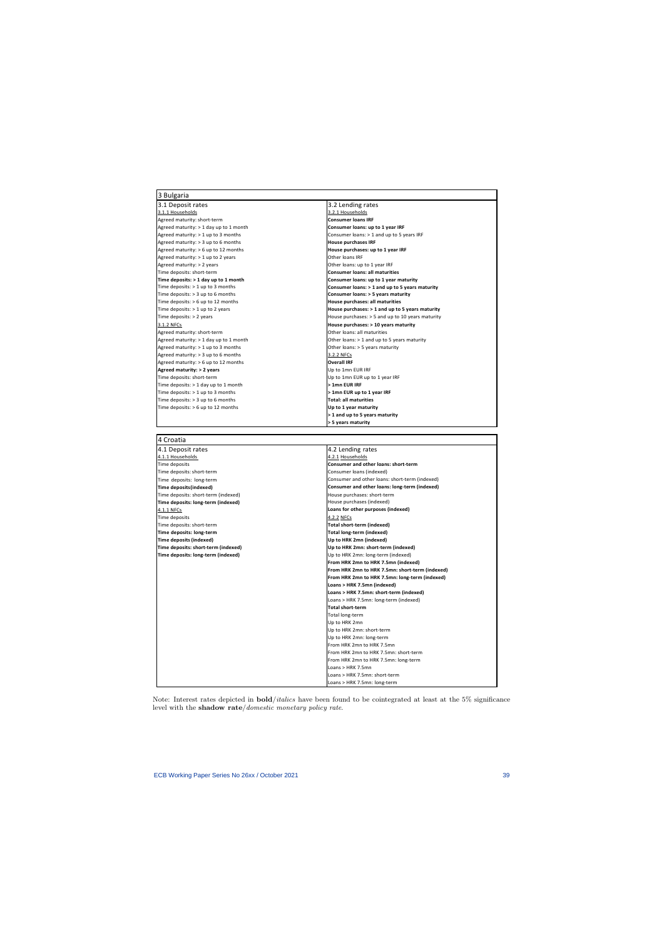| 3 Bulgaria                               |                                                    |
|------------------------------------------|----------------------------------------------------|
| 3.1 Deposit rates                        | 3.2 Lending rates                                  |
| 3.1.1 Households                         | 3.2.1 Households                                   |
| Agreed maturity: short-term              | <b>Consumer loans IRF</b>                          |
| Agreed maturity: $> 1$ day up to 1 month | Consumer loans: up to 1 year IRF                   |
| Agreed maturity: > 1 up to 3 months      | Consumer loans: > 1 and up to 5 years IRF          |
| Agreed maturity: > 3 up to 6 months      | <b>House purchases IRF</b>                         |
| Agreed maturity: > 6 up to 12 months     | House purchases: up to 1 year IRF                  |
| Agreed maturity: > 1 up to 2 years       | Other loans IRF                                    |
| Agreed maturity: > 2 years               | Other loans: up to 1 year IRF                      |
| Time deposits: short-term                | <b>Consumer loans: all maturities</b>              |
| Time deposits: > 1 day up to 1 month     | Consumer loans: up to 1 year maturity              |
| Time deposits: > 1 up to 3 months        | Consumer loans: > 1 and up to 5 years maturity     |
| Time deposits: $>$ 3 up to 6 months      | Consumer loans: > 5 years maturity                 |
| Time deposits: > 6 up to 12 months       | House purchases: all maturities                    |
| Time deposits: > 1 up to 2 years         | House purchases: > 1 and up to 5 years maturity    |
| Time deposits: > 2 years                 | House purchases: $>$ 5 and up to 10 years maturity |
| 3.1.2 NFCs                               | House purchases: > 10 years maturity               |
| Agreed maturity: short-term              | Other loans: all maturities                        |
| Agreed maturity: > 1 day up to 1 month   | Other loans: > 1 and up to 5 years maturity        |
| Agreed maturity: > 1 up to 3 months      | Other loans: > 5 years maturity                    |
| Agreed maturity: > 3 up to 6 months      | 3.2.2 NFCs                                         |
| Agreed maturity: > 6 up to 12 months     | <b>Overall IRF</b>                                 |
| Agreed maturity: > 2 years               | Up to 1mn EUR IRF                                  |
| Time deposits: short-term                | Up to 1mn EUR up to 1 year IRF                     |
| Time deposits: > 1 day up to 1 month     | > 1mn EUR IRF                                      |
| Time deposits: > 1 up to 3 months        | > 1mn EUR up to 1 year IRF                         |
| Time deposits: > 3 up to 6 months        | <b>Total: all maturities</b>                       |
| Time deposits: $> 6$ up to 12 months     | Up to 1 year maturity                              |
|                                          | > 1 and up to 5 years maturity                     |
|                                          | > 5 years maturity                                 |
|                                          |                                                    |
| 4 Croatia                                |                                                    |
| 4.1 Deposit rates                        | 4.2 Lending rates                                  |
| 4.1.1 Households                         | 4.2.1 Households                                   |
| Time deposits                            | Consumer and other loans: short-term               |
| Time deposits: short-term                | Consumer loans (indexed)                           |
| Time deposits: long-term                 | Consumer and other loans: short-term (indexed)     |
| Time deposits (indexed)                  | Consumer and other loans: long-term (indexed)      |
| Time deposits: short-term (indexed)      | House purchases: short-term                        |
| Time deposits: long-term (indexed)       | House purchases (indexed)                          |
| 4.1.1 NFCs                               | Loans for other purposes (indexed)                 |
| Time deposits                            | 4.2.2 NFCs                                         |
| Time deposits: short-term                | Total short-term (indexed)                         |
| Time deposits: long-term                 | Total long-term (indexed)                          |
| Time deposits (indexed)                  | Up to HRK 2mn (indexed)                            |
| Time deposits: short-term (indexed)      | Up to HRK 2mn: short-term (indexed)                |
| Time deposits: long-term (indexed)       | Up to HRK 2mn: long-term (indexed)                 |
|                                          | From HRK 2mn to HRK 7.5mn (indexed)                |
|                                          | From HRK 2mn to HRK 7.5mn: short-term (indexed)    |

Note: Interest rates depicted in bold/italics have been found to be cointegrated at least at the 5% significance level with the shadow rate/domestic monetary policy rate.

**From HRK 2mn to HRK 7.5mn: long‐term (indexed)**

**Loans > HRK 7.5mn: short‐term (indexed)** Loans > HRK 7.5mn: long‐term (indexed)

**Loans > HRK 7.5mn (indexed)**

**Total short‐term** Total long‐term Up to HRK 2mn Up to HRK 2mn: short‐term Up to HRK 2mn: long‐term From HRK 2mn to HRK 7.5mn From HRK 2mn to HRK 7.5mn: short‐term From HRK 2mn to HRK 7.5mn: long‐term

Loans > HRK 7.5mn Loans > HRK 7.5mn: short‐term Loans > HRK 7.5mn: long‐term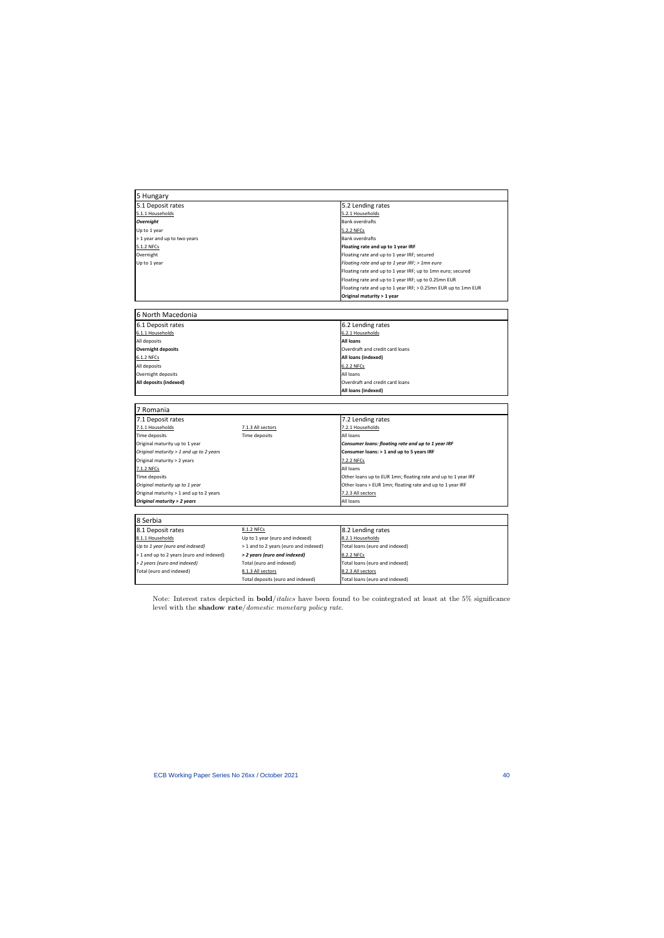| 5 Hungary                                |                                                        |                                                                |  |
|------------------------------------------|--------------------------------------------------------|----------------------------------------------------------------|--|
| 5.1 Deposit rates                        |                                                        | 5.2 Lending rates                                              |  |
| 5.1.1 Households                         |                                                        | 5.2.1 Households                                               |  |
| <b>Overnight</b>                         |                                                        | <b>Bank overdrafts</b>                                         |  |
| Up to 1 year                             |                                                        | 5.2.2 NFCs                                                     |  |
| > 1 year and up to two years             |                                                        | <b>Bank overdrafts</b>                                         |  |
| 5.1.2 NFCs                               |                                                        | Floating rate and up to 1 year IRF                             |  |
| Overnight                                |                                                        | Floating rate and up to 1 year IRF; secured                    |  |
| Up to 1 year                             |                                                        | Floating rate and up to 1 year IRF; > 1mn euro                 |  |
|                                          |                                                        | Floating rate and up to 1 year IRF; up to 1mn euro; secured    |  |
|                                          |                                                        | Floating rate and up to 1 year IRF; up to 0.25mn EUR           |  |
|                                          |                                                        | Floating rate and up to 1 year IRF; > 0.25mn EUR up to 1mn EUR |  |
|                                          |                                                        | Original maturity > 1 year                                     |  |
|                                          |                                                        |                                                                |  |
| 6 North Macedonia                        |                                                        |                                                                |  |
| 6.1 Deposit rates                        |                                                        | 6.2 Lending rates                                              |  |
| 6.1.1 Households                         |                                                        | 6.2.1 Households                                               |  |
| All deposits                             |                                                        | <b>All loans</b>                                               |  |
| <b>Overnight deposits</b>                |                                                        | Overdraft and credit card loans                                |  |
| 6.1.2 NFCs                               |                                                        | All loans (indexed)                                            |  |
| All deposits                             |                                                        | 6.2.2 NFCs                                                     |  |
| Overnight deposits                       |                                                        | All loans                                                      |  |
| All deposits (indexed)                   |                                                        | Overdraft and credit card loans                                |  |
|                                          |                                                        | All loans (indexed)                                            |  |
|                                          |                                                        |                                                                |  |
| 7 Romania                                |                                                        |                                                                |  |
| 7.1 Deposit rates                        |                                                        | 7.2 Lending rates                                              |  |
| 7.1.1 Households                         | 7.1.3 All sectors                                      | 7.2.1 Households                                               |  |
| Time deposits                            | Time deposits                                          | All loans                                                      |  |
| Original maturity up to 1 year           |                                                        | Consumer loans: floating rate and up to 1 year IRF             |  |
| Original maturity > 1 and up to 2 years  |                                                        | Consumer loans: > 1 and up to 5 years IRF                      |  |
| Original maturity > 2 years              |                                                        | 7.2.2 NFCs                                                     |  |
| 7.1.2 NFCs                               |                                                        | All loans                                                      |  |
| Time deposits                            |                                                        | Other loans up to EUR 1mn; floating rate and up to 1 year IRF  |  |
| Original maturity up to 1 year           |                                                        | Other loans > EUR 1mn; floating rate and up to 1 year IRF      |  |
| Original maturity > 1 and up to 2 years  |                                                        |                                                                |  |
|                                          |                                                        |                                                                |  |
|                                          |                                                        | 7.2.3 All sectors<br>All loans                                 |  |
| Original maturity > 2 years              |                                                        |                                                                |  |
| 8 Serbia                                 |                                                        |                                                                |  |
|                                          | 8.1.2 NFCs                                             |                                                                |  |
| 8.1 Deposit rates                        |                                                        | 8.2 Lending rates                                              |  |
| 8.1.1 Households                         | Up to 1 year (euro and indexed)                        | 8.2.1 Households                                               |  |
| Up to 1 year (euro and indexed)          | > 1 and to 2 years (euro and indexed)                  | Total loans (euro and indexed)                                 |  |
| > 1 and up to 2 years (euro and indexed) | > 2 years (euro and indexed)                           | 8.2.2 NFCs                                                     |  |
| > 2 years (euro and indexed)             | Total (euro and indexed)                               | Total loans (euro and indexed)                                 |  |
| Total (euro and indexed)                 | 8.1.3 All sectors<br>Total deposits (euro and indexed) | 8.2.3 All sectors<br>Total loans (euro and indexed)            |  |

Note: Interest rates depicted in bold/italics have been found to be cointegrated at least at the 5% significance level with the shadow rate/domestic monetary policy rate.